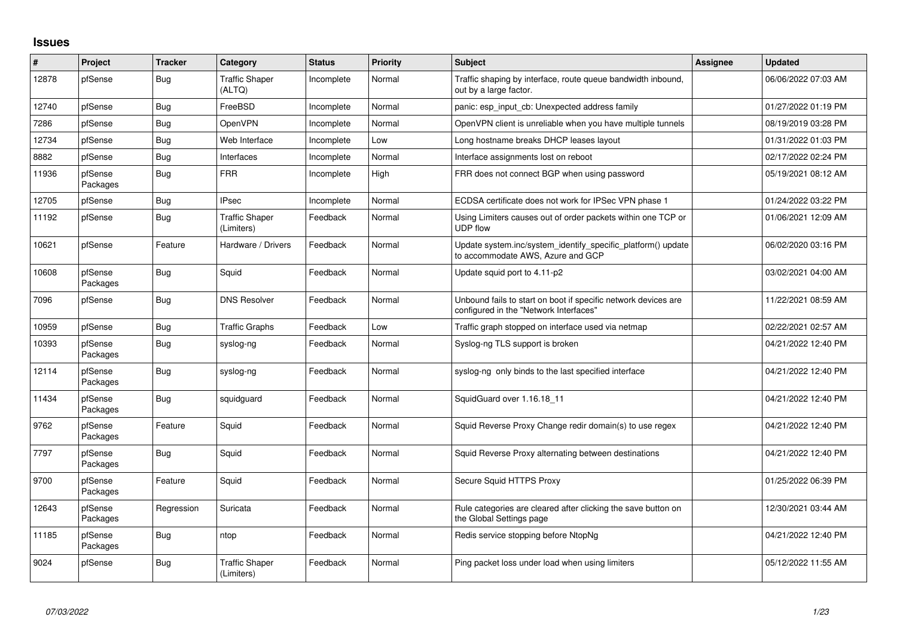## **Issues**

| $\vert$ # | <b>Project</b>      | <b>Tracker</b> | Category                            | <b>Status</b> | <b>Priority</b> | <b>Subject</b>                                                                                           | <b>Assignee</b> | <b>Updated</b>      |
|-----------|---------------------|----------------|-------------------------------------|---------------|-----------------|----------------------------------------------------------------------------------------------------------|-----------------|---------------------|
| 12878     | pfSense             | Bug            | <b>Traffic Shaper</b><br>(ALTQ)     | Incomplete    | Normal          | Traffic shaping by interface, route queue bandwidth inbound,<br>out by a large factor.                   |                 | 06/06/2022 07:03 AM |
| 12740     | pfSense             | Bug            | FreeBSD                             | Incomplete    | Normal          | panic: esp input cb: Unexpected address family                                                           |                 | 01/27/2022 01:19 PM |
| 7286      | pfSense             | <b>Bug</b>     | OpenVPN                             | Incomplete    | Normal          | OpenVPN client is unreliable when you have multiple tunnels                                              |                 | 08/19/2019 03:28 PM |
| 12734     | pfSense             | Bug            | Web Interface                       | Incomplete    | Low             | Long hostname breaks DHCP leases layout                                                                  |                 | 01/31/2022 01:03 PM |
| 8882      | pfSense             | Bug            | Interfaces                          | Incomplete    | Normal          | Interface assignments lost on reboot                                                                     |                 | 02/17/2022 02:24 PM |
| 11936     | pfSense<br>Packages | <b>Bug</b>     | <b>FRR</b>                          | Incomplete    | High            | FRR does not connect BGP when using password                                                             |                 | 05/19/2021 08:12 AM |
| 12705     | pfSense             | Bug            | <b>IPsec</b>                        | Incomplete    | Normal          | ECDSA certificate does not work for IPSec VPN phase 1                                                    |                 | 01/24/2022 03:22 PM |
| 11192     | pfSense             | Bug            | <b>Traffic Shaper</b><br>(Limiters) | Feedback      | Normal          | Using Limiters causes out of order packets within one TCP or<br><b>UDP flow</b>                          |                 | 01/06/2021 12:09 AM |
| 10621     | pfSense             | Feature        | Hardware / Drivers                  | Feedback      | Normal          | Update system.inc/system_identify_specific_platform() update<br>to accommodate AWS, Azure and GCP        |                 | 06/02/2020 03:16 PM |
| 10608     | pfSense<br>Packages | <b>Bug</b>     | Squid                               | Feedback      | Normal          | Update squid port to 4.11-p2                                                                             |                 | 03/02/2021 04:00 AM |
| 7096      | pfSense             | Bug            | <b>DNS Resolver</b>                 | Feedback      | Normal          | Unbound fails to start on boot if specific network devices are<br>configured in the "Network Interfaces" |                 | 11/22/2021 08:59 AM |
| 10959     | pfSense             | <b>Bug</b>     | <b>Traffic Graphs</b>               | Feedback      | Low             | Traffic graph stopped on interface used via netmap                                                       |                 | 02/22/2021 02:57 AM |
| 10393     | pfSense<br>Packages | <b>Bug</b>     | syslog-ng                           | Feedback      | Normal          | Syslog-ng TLS support is broken                                                                          |                 | 04/21/2022 12:40 PM |
| 12114     | pfSense<br>Packages | Bug            | syslog-ng                           | Feedback      | Normal          | syslog-ng only binds to the last specified interface                                                     |                 | 04/21/2022 12:40 PM |
| 11434     | pfSense<br>Packages | Bug            | squidguard                          | Feedback      | Normal          | SquidGuard over 1.16.18 11                                                                               |                 | 04/21/2022 12:40 PM |
| 9762      | pfSense<br>Packages | Feature        | Squid                               | Feedback      | Normal          | Squid Reverse Proxy Change redir domain(s) to use regex                                                  |                 | 04/21/2022 12:40 PM |
| 7797      | pfSense<br>Packages | Bug            | Squid                               | Feedback      | Normal          | Squid Reverse Proxy alternating between destinations                                                     |                 | 04/21/2022 12:40 PM |
| 9700      | pfSense<br>Packages | Feature        | Squid                               | Feedback      | Normal          | Secure Squid HTTPS Proxy                                                                                 |                 | 01/25/2022 06:39 PM |
| 12643     | pfSense<br>Packages | Regression     | Suricata                            | Feedback      | Normal          | Rule categories are cleared after clicking the save button on<br>the Global Settings page                |                 | 12/30/2021 03:44 AM |
| 11185     | pfSense<br>Packages | <b>Bug</b>     | ntop                                | Feedback      | Normal          | Redis service stopping before NtopNg                                                                     |                 | 04/21/2022 12:40 PM |
| 9024      | pfSense             | <b>Bug</b>     | <b>Traffic Shaper</b><br>(Limiters) | Feedback      | Normal          | Ping packet loss under load when using limiters                                                          |                 | 05/12/2022 11:55 AM |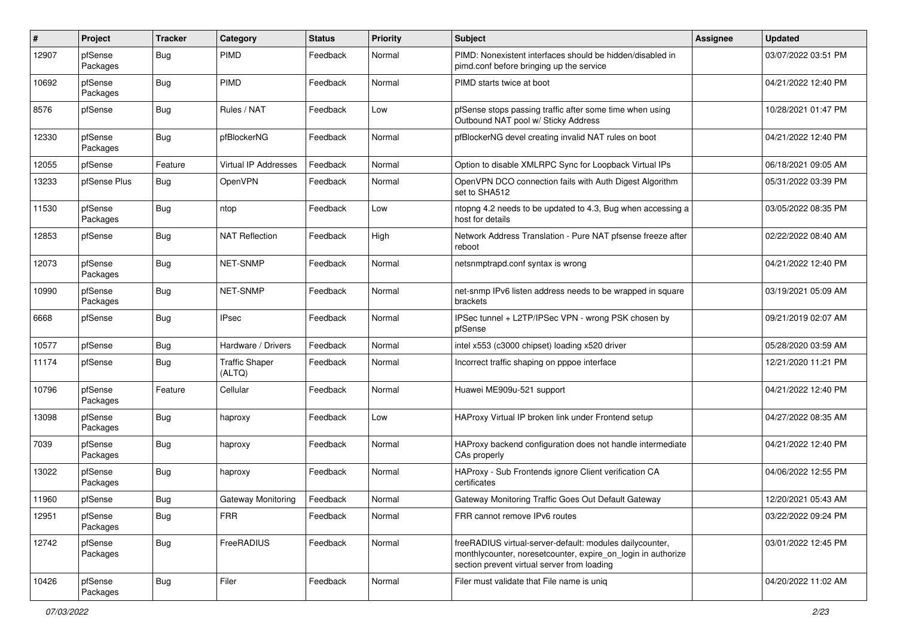| #     | Project             | <b>Tracker</b> | Category                        | <b>Status</b> | <b>Priority</b> | <b>Subject</b>                                                                                                                                                          | Assignee | <b>Updated</b>      |
|-------|---------------------|----------------|---------------------------------|---------------|-----------------|-------------------------------------------------------------------------------------------------------------------------------------------------------------------------|----------|---------------------|
| 12907 | pfSense<br>Packages | Bug            | <b>PIMD</b>                     | Feedback      | Normal          | PIMD: Nonexistent interfaces should be hidden/disabled in<br>pimd.conf before bringing up the service                                                                   |          | 03/07/2022 03:51 PM |
| 10692 | pfSense<br>Packages | Bug            | <b>PIMD</b>                     | Feedback      | Normal          | PIMD starts twice at boot                                                                                                                                               |          | 04/21/2022 12:40 PM |
| 8576  | pfSense             | <b>Bug</b>     | Rules / NAT                     | Feedback      | Low             | pfSense stops passing traffic after some time when using<br>Outbound NAT pool w/ Sticky Address                                                                         |          | 10/28/2021 01:47 PM |
| 12330 | pfSense<br>Packages | Bug            | pfBlockerNG                     | Feedback      | Normal          | pfBlockerNG devel creating invalid NAT rules on boot                                                                                                                    |          | 04/21/2022 12:40 PM |
| 12055 | pfSense             | Feature        | <b>Virtual IP Addresses</b>     | Feedback      | Normal          | Option to disable XMLRPC Sync for Loopback Virtual IPs                                                                                                                  |          | 06/18/2021 09:05 AM |
| 13233 | pfSense Plus        | Bug            | OpenVPN                         | Feedback      | Normal          | OpenVPN DCO connection fails with Auth Digest Algorithm<br>set to SHA512                                                                                                |          | 05/31/2022 03:39 PM |
| 11530 | pfSense<br>Packages | Bug            | ntop                            | Feedback      | Low             | ntopng 4.2 needs to be updated to 4.3, Bug when accessing a<br>host for details                                                                                         |          | 03/05/2022 08:35 PM |
| 12853 | pfSense             | Bug            | <b>NAT Reflection</b>           | Feedback      | High            | Network Address Translation - Pure NAT pfsense freeze after<br>reboot                                                                                                   |          | 02/22/2022 08:40 AM |
| 12073 | pfSense<br>Packages | Bug            | <b>NET-SNMP</b>                 | Feedback      | Normal          | netsnmptrapd.conf syntax is wrong                                                                                                                                       |          | 04/21/2022 12:40 PM |
| 10990 | pfSense<br>Packages | Bug            | <b>NET-SNMP</b>                 | Feedback      | Normal          | net-snmp IPv6 listen address needs to be wrapped in square<br>brackets                                                                                                  |          | 03/19/2021 05:09 AM |
| 6668  | pfSense             | <b>Bug</b>     | <b>IPsec</b>                    | Feedback      | Normal          | IPSec tunnel + L2TP/IPSec VPN - wrong PSK chosen by<br>pfSense                                                                                                          |          | 09/21/2019 02:07 AM |
| 10577 | pfSense             | <b>Bug</b>     | Hardware / Drivers              | Feedback      | Normal          | intel x553 (c3000 chipset) loading x520 driver                                                                                                                          |          | 05/28/2020 03:59 AM |
| 11174 | pfSense             | <b>Bug</b>     | <b>Traffic Shaper</b><br>(ALTQ) | Feedback      | Normal          | Incorrect traffic shaping on pppoe interface                                                                                                                            |          | 12/21/2020 11:21 PM |
| 10796 | pfSense<br>Packages | Feature        | Cellular                        | Feedback      | Normal          | Huawei ME909u-521 support                                                                                                                                               |          | 04/21/2022 12:40 PM |
| 13098 | pfSense<br>Packages | Bug            | haproxy                         | Feedback      | Low             | HAProxy Virtual IP broken link under Frontend setup                                                                                                                     |          | 04/27/2022 08:35 AM |
| 7039  | pfSense<br>Packages | Bug            | haproxy                         | Feedback      | Normal          | HAProxy backend configuration does not handle intermediate<br>CAs properly                                                                                              |          | 04/21/2022 12:40 PM |
| 13022 | pfSense<br>Packages | <b>Bug</b>     | haproxy                         | Feedback      | Normal          | HAProxy - Sub Frontends ignore Client verification CA<br>certificates                                                                                                   |          | 04/06/2022 12:55 PM |
| 11960 | pfSense             | <b>Bug</b>     | Gateway Monitoring              | Feedback      | Normal          | Gateway Monitoring Traffic Goes Out Default Gateway                                                                                                                     |          | 12/20/2021 05:43 AM |
| 12951 | pfSense<br>Packages | <b>Bug</b>     | <b>FRR</b>                      | Feedback      | Normal          | FRR cannot remove IPv6 routes                                                                                                                                           |          | 03/22/2022 09:24 PM |
| 12742 | pfSense<br>Packages | <b>Bug</b>     | FreeRADIUS                      | Feedback      | Normal          | freeRADIUS virtual-server-default: modules dailycounter,<br>monthlycounter, noresetcounter, expire_on_login in authorize<br>section prevent virtual server from loading |          | 03/01/2022 12:45 PM |
| 10426 | pfSense<br>Packages | <b>Bug</b>     | Filer                           | Feedback      | Normal          | Filer must validate that File name is uniq                                                                                                                              |          | 04/20/2022 11:02 AM |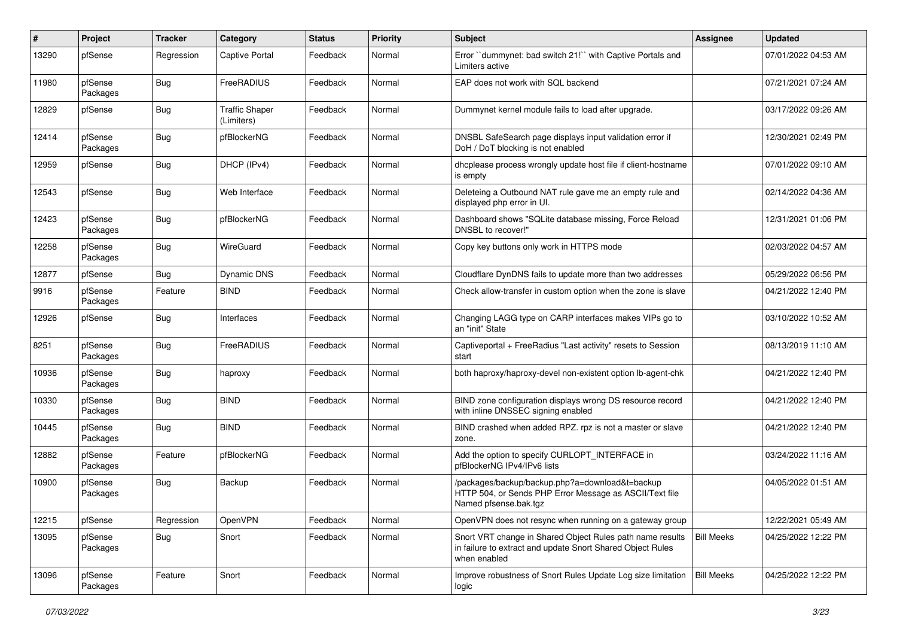| ∦     | Project             | Tracker    | Category                            | <b>Status</b> | <b>Priority</b> | <b>Subject</b>                                                                                                                          | Assignee          | <b>Updated</b>      |
|-------|---------------------|------------|-------------------------------------|---------------|-----------------|-----------------------------------------------------------------------------------------------------------------------------------------|-------------------|---------------------|
| 13290 | pfSense             | Regression | <b>Captive Portal</b>               | Feedback      | Normal          | Error "dummynet: bad switch 21!" with Captive Portals and<br>Limiters active                                                            |                   | 07/01/2022 04:53 AM |
| 11980 | pfSense<br>Packages | <b>Bug</b> | FreeRADIUS                          | Feedback      | Normal          | EAP does not work with SQL backend                                                                                                      |                   | 07/21/2021 07:24 AM |
| 12829 | pfSense             | <b>Bug</b> | <b>Traffic Shaper</b><br>(Limiters) | Feedback      | Normal          | Dummynet kernel module fails to load after upgrade.                                                                                     |                   | 03/17/2022 09:26 AM |
| 12414 | pfSense<br>Packages | <b>Bug</b> | pfBlockerNG                         | Feedback      | Normal          | DNSBL SafeSearch page displays input validation error if<br>DoH / DoT blocking is not enabled                                           |                   | 12/30/2021 02:49 PM |
| 12959 | pfSense             | <b>Bug</b> | DHCP (IPv4)                         | Feedback      | Normal          | dhcplease process wrongly update host file if client-hostname<br>is empty                                                               |                   | 07/01/2022 09:10 AM |
| 12543 | pfSense             | <b>Bug</b> | Web Interface                       | Feedback      | Normal          | Deleteing a Outbound NAT rule gave me an empty rule and<br>displayed php error in UI.                                                   |                   | 02/14/2022 04:36 AM |
| 12423 | pfSense<br>Packages | <b>Bug</b> | pfBlockerNG                         | Feedback      | Normal          | Dashboard shows "SQLite database missing, Force Reload<br>DNSBL to recover!"                                                            |                   | 12/31/2021 01:06 PM |
| 12258 | pfSense<br>Packages | <b>Bug</b> | WireGuard                           | Feedback      | Normal          | Copy key buttons only work in HTTPS mode                                                                                                |                   | 02/03/2022 04:57 AM |
| 12877 | pfSense             | <b>Bug</b> | Dynamic DNS                         | Feedback      | Normal          | Cloudflare DynDNS fails to update more than two addresses                                                                               |                   | 05/29/2022 06:56 PM |
| 9916  | pfSense<br>Packages | Feature    | <b>BIND</b>                         | Feedback      | Normal          | Check allow-transfer in custom option when the zone is slave                                                                            |                   | 04/21/2022 12:40 PM |
| 12926 | pfSense             | <b>Bug</b> | Interfaces                          | Feedback      | Normal          | Changing LAGG type on CARP interfaces makes VIPs go to<br>an "init" State                                                               |                   | 03/10/2022 10:52 AM |
| 8251  | pfSense<br>Packages | <b>Bug</b> | FreeRADIUS                          | Feedback      | Normal          | Captiveportal + FreeRadius "Last activity" resets to Session<br>start                                                                   |                   | 08/13/2019 11:10 AM |
| 10936 | pfSense<br>Packages | <b>Bug</b> | haproxy                             | Feedback      | Normal          | both haproxy/haproxy-devel non-existent option lb-agent-chk                                                                             |                   | 04/21/2022 12:40 PM |
| 10330 | pfSense<br>Packages | <b>Bug</b> | <b>BIND</b>                         | Feedback      | Normal          | BIND zone configuration displays wrong DS resource record<br>with inline DNSSEC signing enabled                                         |                   | 04/21/2022 12:40 PM |
| 10445 | pfSense<br>Packages | <b>Bug</b> | <b>BIND</b>                         | Feedback      | Normal          | BIND crashed when added RPZ. rpz is not a master or slave<br>zone.                                                                      |                   | 04/21/2022 12:40 PM |
| 12882 | pfSense<br>Packages | Feature    | pfBlockerNG                         | Feedback      | Normal          | Add the option to specify CURLOPT_INTERFACE in<br>pfBlockerNG IPv4/IPv6 lists                                                           |                   | 03/24/2022 11:16 AM |
| 10900 | pfSense<br>Packages | <b>Bug</b> | Backup                              | Feedback      | Normal          | /packages/backup/backup.php?a=download&t=backup<br>HTTP 504, or Sends PHP Error Message as ASCII/Text file<br>Named pfsense.bak.tgz     |                   | 04/05/2022 01:51 AM |
| 12215 | pfSense             | Regression | OpenVPN                             | Feedback      | Normal          | OpenVPN does not resync when running on a gateway group                                                                                 |                   | 12/22/2021 05:49 AM |
| 13095 | pfSense<br>Packages | <b>Bug</b> | Snort                               | Feedback      | Normal          | Snort VRT change in Shared Object Rules path name results<br>in failure to extract and update Snort Shared Object Rules<br>when enabled | <b>Bill Meeks</b> | 04/25/2022 12:22 PM |
| 13096 | pfSense<br>Packages | Feature    | Snort                               | Feedback      | Normal          | Improve robustness of Snort Rules Update Log size limitation<br>logic                                                                   | <b>Bill Meeks</b> | 04/25/2022 12:22 PM |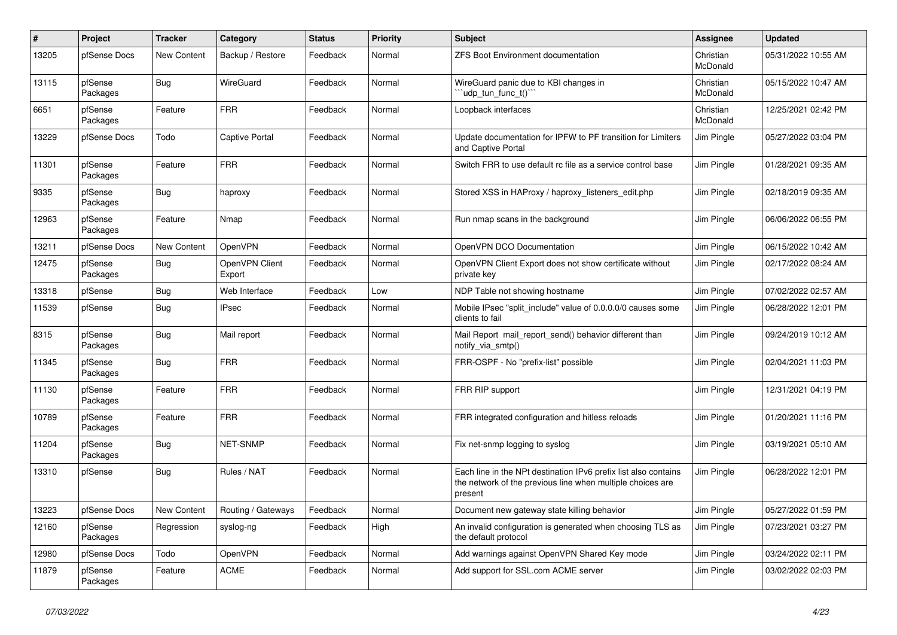| $\#$  | Project             | <b>Tracker</b> | Category                 | <b>Status</b> | <b>Priority</b> | <b>Subject</b>                                                                                                                           | <b>Assignee</b>       | <b>Updated</b>      |
|-------|---------------------|----------------|--------------------------|---------------|-----------------|------------------------------------------------------------------------------------------------------------------------------------------|-----------------------|---------------------|
| 13205 | pfSense Docs        | New Content    | Backup / Restore         | Feedback      | Normal          | <b>ZFS Boot Environment documentation</b>                                                                                                | Christian<br>McDonald | 05/31/2022 10:55 AM |
| 13115 | pfSense<br>Packages | Bug            | WireGuard                | Feedback      | Normal          | WireGuard panic due to KBI changes in<br>'udp tun func t()'"                                                                             | Christian<br>McDonald | 05/15/2022 10:47 AM |
| 6651  | pfSense<br>Packages | Feature        | <b>FRR</b>               | Feedback      | Normal          | Loopback interfaces                                                                                                                      | Christian<br>McDonald | 12/25/2021 02:42 PM |
| 13229 | pfSense Docs        | Todo           | Captive Portal           | Feedback      | Normal          | Update documentation for IPFW to PF transition for Limiters<br>and Captive Portal                                                        | Jim Pingle            | 05/27/2022 03:04 PM |
| 11301 | pfSense<br>Packages | Feature        | <b>FRR</b>               | Feedback      | Normal          | Switch FRR to use default rc file as a service control base                                                                              | Jim Pingle            | 01/28/2021 09:35 AM |
| 9335  | pfSense<br>Packages | <b>Bug</b>     | haproxy                  | Feedback      | Normal          | Stored XSS in HAProxy / haproxy listeners edit.php                                                                                       | Jim Pingle            | 02/18/2019 09:35 AM |
| 12963 | pfSense<br>Packages | Feature        | Nmap                     | Feedback      | Normal          | Run nmap scans in the background                                                                                                         | Jim Pingle            | 06/06/2022 06:55 PM |
| 13211 | pfSense Docs        | New Content    | OpenVPN                  | Feedback      | Normal          | OpenVPN DCO Documentation                                                                                                                | Jim Pingle            | 06/15/2022 10:42 AM |
| 12475 | pfSense<br>Packages | <b>Bug</b>     | OpenVPN Client<br>Export | Feedback      | Normal          | OpenVPN Client Export does not show certificate without<br>private key                                                                   | Jim Pingle            | 02/17/2022 08:24 AM |
| 13318 | pfSense             | <b>Bug</b>     | Web Interface            | Feedback      | Low             | NDP Table not showing hostname                                                                                                           | Jim Pingle            | 07/02/2022 02:57 AM |
| 11539 | pfSense             | <b>Bug</b>     | <b>IPsec</b>             | Feedback      | Normal          | Mobile IPsec "split include" value of 0.0.0.0/0 causes some<br>clients to fail                                                           | Jim Pingle            | 06/28/2022 12:01 PM |
| 8315  | pfSense<br>Packages | <b>Bug</b>     | Mail report              | Feedback      | Normal          | Mail Report mail_report_send() behavior different than<br>notify via smtp()                                                              | Jim Pingle            | 09/24/2019 10:12 AM |
| 11345 | pfSense<br>Packages | <b>Bug</b>     | <b>FRR</b>               | Feedback      | Normal          | FRR-OSPF - No "prefix-list" possible                                                                                                     | Jim Pingle            | 02/04/2021 11:03 PM |
| 11130 | pfSense<br>Packages | Feature        | <b>FRR</b>               | Feedback      | Normal          | FRR RIP support                                                                                                                          | Jim Pingle            | 12/31/2021 04:19 PM |
| 10789 | pfSense<br>Packages | Feature        | <b>FRR</b>               | Feedback      | Normal          | FRR integrated configuration and hitless reloads                                                                                         | Jim Pingle            | 01/20/2021 11:16 PM |
| 11204 | pfSense<br>Packages | <b>Bug</b>     | <b>NET-SNMP</b>          | Feedback      | Normal          | Fix net-snmp logging to syslog                                                                                                           | Jim Pingle            | 03/19/2021 05:10 AM |
| 13310 | pfSense             | Bug            | Rules / NAT              | Feedback      | Normal          | Each line in the NPt destination IPv6 prefix list also contains<br>the network of the previous line when multiple choices are<br>present | Jim Pingle            | 06/28/2022 12:01 PM |
| 13223 | pfSense Docs        | New Content    | Routing / Gateways       | Feedback      | Normal          | Document new gateway state killing behavior                                                                                              | Jim Pingle            | 05/27/2022 01:59 PM |
| 12160 | pfSense<br>Packages | Regression     | syslog-ng                | Feedback      | High            | An invalid configuration is generated when choosing TLS as<br>the default protocol                                                       | Jim Pingle            | 07/23/2021 03:27 PM |
| 12980 | pfSense Docs        | Todo           | OpenVPN                  | Feedback      | Normal          | Add warnings against OpenVPN Shared Key mode                                                                                             | Jim Pingle            | 03/24/2022 02:11 PM |
| 11879 | pfSense<br>Packages | Feature        | <b>ACME</b>              | Feedback      | Normal          | Add support for SSL.com ACME server                                                                                                      | Jim Pingle            | 03/02/2022 02:03 PM |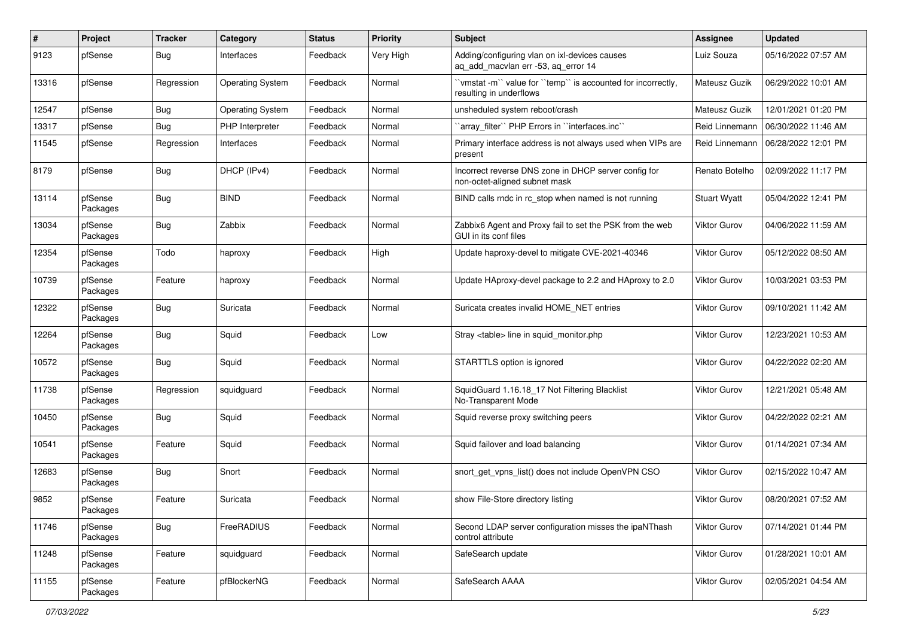| $\#$  | Project             | <b>Tracker</b> | Category                | <b>Status</b> | <b>Priority</b> | Subject                                                                                 | <b>Assignee</b>     | <b>Updated</b>      |
|-------|---------------------|----------------|-------------------------|---------------|-----------------|-----------------------------------------------------------------------------------------|---------------------|---------------------|
| 9123  | pfSense             | <b>Bug</b>     | Interfaces              | Feedback      | Very High       | Adding/configuring vlan on ixl-devices causes<br>aq_add_macvlan err -53, aq_error 14    | Luiz Souza          | 05/16/2022 07:57 AM |
| 13316 | pfSense             | Regression     | <b>Operating System</b> | Feedback      | Normal          | 'vmstat-m'' value for ''temp'' is accounted for incorrectly,<br>resulting in underflows | Mateusz Guzik       | 06/29/2022 10:01 AM |
| 12547 | pfSense             | <b>Bug</b>     | <b>Operating System</b> | Feedback      | Normal          | unsheduled system reboot/crash                                                          | Mateusz Guzik       | 12/01/2021 01:20 PM |
| 13317 | pfSense             | <b>Bug</b>     | PHP Interpreter         | Feedback      | Normal          | 'array_filter'' PHP Errors in ''interfaces.inc''                                        | Reid Linnemann      | 06/30/2022 11:46 AM |
| 11545 | pfSense             | Regression     | Interfaces              | Feedback      | Normal          | Primary interface address is not always used when VIPs are<br>present                   | Reid Linnemann      | 06/28/2022 12:01 PM |
| 8179  | pfSense             | Bug            | DHCP (IPv4)             | Feedback      | Normal          | Incorrect reverse DNS zone in DHCP server config for<br>non-octet-aligned subnet mask   | Renato Botelho      | 02/09/2022 11:17 PM |
| 13114 | pfSense<br>Packages | Bug            | <b>BIND</b>             | Feedback      | Normal          | BIND calls rndc in rc stop when named is not running                                    | <b>Stuart Wyatt</b> | 05/04/2022 12:41 PM |
| 13034 | pfSense<br>Packages | <b>Bug</b>     | Zabbix                  | Feedback      | Normal          | Zabbix6 Agent and Proxy fail to set the PSK from the web<br>GUI in its conf files       | Viktor Gurov        | 04/06/2022 11:59 AM |
| 12354 | pfSense<br>Packages | Todo           | haproxy                 | Feedback      | High            | Update haproxy-devel to mitigate CVE-2021-40346                                         | Viktor Gurov        | 05/12/2022 08:50 AM |
| 10739 | pfSense<br>Packages | Feature        | haproxy                 | Feedback      | Normal          | Update HAproxy-devel package to 2.2 and HAproxy to 2.0                                  | Viktor Gurov        | 10/03/2021 03:53 PM |
| 12322 | pfSense<br>Packages | Bug            | Suricata                | Feedback      | Normal          | Suricata creates invalid HOME_NET entries                                               | <b>Viktor Gurov</b> | 09/10/2021 11:42 AM |
| 12264 | pfSense<br>Packages | Bug            | Squid                   | Feedback      | Low             | Stray <table> line in squid monitor.php</table>                                         | Viktor Gurov        | 12/23/2021 10:53 AM |
| 10572 | pfSense<br>Packages | <b>Bug</b>     | Squid                   | Feedback      | Normal          | STARTTLS option is ignored                                                              | <b>Viktor Gurov</b> | 04/22/2022 02:20 AM |
| 11738 | pfSense<br>Packages | Regression     | squidguard              | Feedback      | Normal          | SquidGuard 1.16.18_17 Not Filtering Blacklist<br>No-Transparent Mode                    | <b>Viktor Gurov</b> | 12/21/2021 05:48 AM |
| 10450 | pfSense<br>Packages | Bug            | Squid                   | Feedback      | Normal          | Squid reverse proxy switching peers                                                     | Viktor Gurov        | 04/22/2022 02:21 AM |
| 10541 | pfSense<br>Packages | Feature        | Squid                   | Feedback      | Normal          | Squid failover and load balancing                                                       | <b>Viktor Gurov</b> | 01/14/2021 07:34 AM |
| 12683 | pfSense<br>Packages | <b>Bug</b>     | Snort                   | Feedback      | Normal          | snort_get_vpns_list() does not include OpenVPN CSO                                      | Viktor Gurov        | 02/15/2022 10:47 AM |
| 9852  | pfSense<br>Packages | Feature        | Suricata                | Feedback      | Normal          | show File-Store directory listing                                                       | <b>Viktor Gurov</b> | 08/20/2021 07:52 AM |
| 11746 | pfSense<br>Packages | <b>Bug</b>     | FreeRADIUS              | Feedback      | Normal          | Second LDAP server configuration misses the ipaNThash<br>control attribute              | <b>Viktor Gurov</b> | 07/14/2021 01:44 PM |
| 11248 | pfSense<br>Packages | Feature        | squidguard              | Feedback      | Normal          | SafeSearch update                                                                       | Viktor Gurov        | 01/28/2021 10:01 AM |
| 11155 | pfSense<br>Packages | Feature        | pfBlockerNG             | Feedback      | Normal          | SafeSearch AAAA                                                                         | Viktor Gurov        | 02/05/2021 04:54 AM |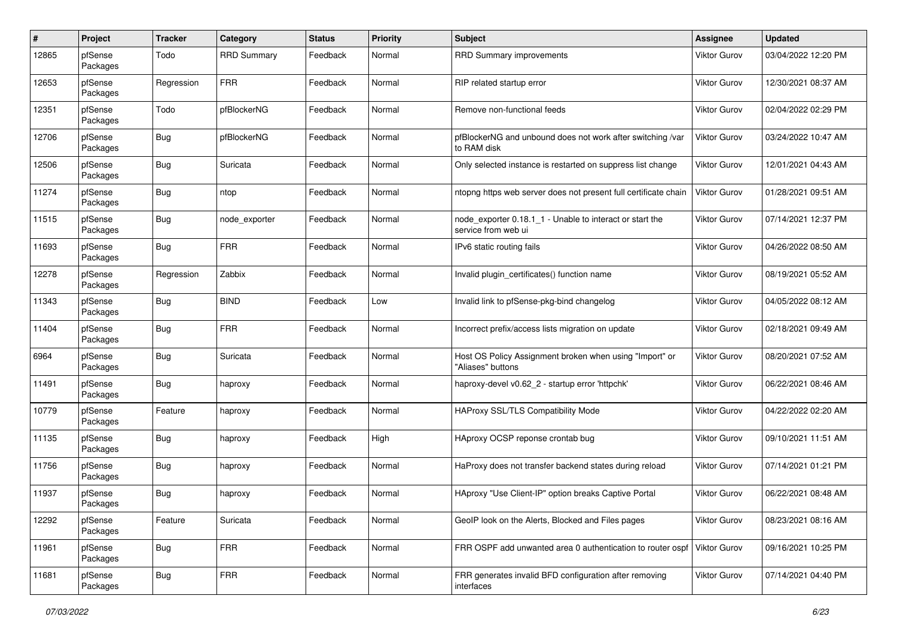| $\#$  | Project             | <b>Tracker</b> | Category           | <b>Status</b> | <b>Priority</b> | <b>Subject</b>                                                                  | <b>Assignee</b>     | <b>Updated</b>      |
|-------|---------------------|----------------|--------------------|---------------|-----------------|---------------------------------------------------------------------------------|---------------------|---------------------|
| 12865 | pfSense<br>Packages | Todo           | <b>RRD Summary</b> | Feedback      | Normal          | <b>RRD Summary improvements</b>                                                 | Viktor Gurov        | 03/04/2022 12:20 PM |
| 12653 | pfSense<br>Packages | Regression     | <b>FRR</b>         | Feedback      | Normal          | RIP related startup error                                                       | Viktor Gurov        | 12/30/2021 08:37 AM |
| 12351 | pfSense<br>Packages | Todo           | pfBlockerNG        | Feedback      | Normal          | Remove non-functional feeds                                                     | Viktor Gurov        | 02/04/2022 02:29 PM |
| 12706 | pfSense<br>Packages | <b>Bug</b>     | pfBlockerNG        | Feedback      | Normal          | pfBlockerNG and unbound does not work after switching /var<br>to RAM disk       | Viktor Gurov        | 03/24/2022 10:47 AM |
| 12506 | pfSense<br>Packages | <b>Bug</b>     | Suricata           | Feedback      | Normal          | Only selected instance is restarted on suppress list change                     | Viktor Gurov        | 12/01/2021 04:43 AM |
| 11274 | pfSense<br>Packages | <b>Bug</b>     | ntop               | Feedback      | Normal          | ntopng https web server does not present full certificate chain                 | <b>Viktor Gurov</b> | 01/28/2021 09:51 AM |
| 11515 | pfSense<br>Packages | <b>Bug</b>     | node_exporter      | Feedback      | Normal          | node exporter 0.18.1 1 - Unable to interact or start the<br>service from web ui | Viktor Gurov        | 07/14/2021 12:37 PM |
| 11693 | pfSense<br>Packages | <b>Bug</b>     | <b>FRR</b>         | Feedback      | Normal          | IPv6 static routing fails                                                       | Viktor Gurov        | 04/26/2022 08:50 AM |
| 12278 | pfSense<br>Packages | Regression     | Zabbix             | Feedback      | Normal          | Invalid plugin certificates() function name                                     | <b>Viktor Gurov</b> | 08/19/2021 05:52 AM |
| 11343 | pfSense<br>Packages | <b>Bug</b>     | <b>BIND</b>        | Feedback      | Low             | Invalid link to pfSense-pkg-bind changelog                                      | <b>Viktor Gurov</b> | 04/05/2022 08:12 AM |
| 11404 | pfSense<br>Packages | <b>Bug</b>     | <b>FRR</b>         | Feedback      | Normal          | Incorrect prefix/access lists migration on update                               | Viktor Gurov        | 02/18/2021 09:49 AM |
| 6964  | pfSense<br>Packages | <b>Bug</b>     | Suricata           | Feedback      | Normal          | Host OS Policy Assignment broken when using "Import" or<br>"Aliases" buttons    | Viktor Gurov        | 08/20/2021 07:52 AM |
| 11491 | pfSense<br>Packages | <b>Bug</b>     | haproxy            | Feedback      | Normal          | haproxy-devel v0.62 2 - startup error 'httpchk'                                 | <b>Viktor Gurov</b> | 06/22/2021 08:46 AM |
| 10779 | pfSense<br>Packages | Feature        | haproxy            | Feedback      | Normal          | HAProxy SSL/TLS Compatibility Mode                                              | <b>Viktor Gurov</b> | 04/22/2022 02:20 AM |
| 11135 | pfSense<br>Packages | <b>Bug</b>     | haproxy            | Feedback      | High            | HAproxy OCSP reponse crontab bug                                                | Viktor Gurov        | 09/10/2021 11:51 AM |
| 11756 | pfSense<br>Packages | <b>Bug</b>     | haproxy            | Feedback      | Normal          | HaProxy does not transfer backend states during reload                          | <b>Viktor Gurov</b> | 07/14/2021 01:21 PM |
| 11937 | pfSense<br>Packages | <b>Bug</b>     | haproxy            | Feedback      | Normal          | HAproxy "Use Client-IP" option breaks Captive Portal                            | <b>Viktor Gurov</b> | 06/22/2021 08:48 AM |
| 12292 | pfSense<br>Packages | Feature        | Suricata           | Feedback      | Normal          | GeoIP look on the Alerts, Blocked and Files pages                               | Viktor Gurov        | 08/23/2021 08:16 AM |
| 11961 | pfSense<br>Packages | <b>Bug</b>     | <b>FRR</b>         | Feedback      | Normal          | FRR OSPF add unwanted area 0 authentication to router ospf                      | Viktor Gurov        | 09/16/2021 10:25 PM |
| 11681 | pfSense<br>Packages | <b>Bug</b>     | <b>FRR</b>         | Feedback      | Normal          | FRR generates invalid BFD configuration after removing<br>interfaces            | Viktor Gurov        | 07/14/2021 04:40 PM |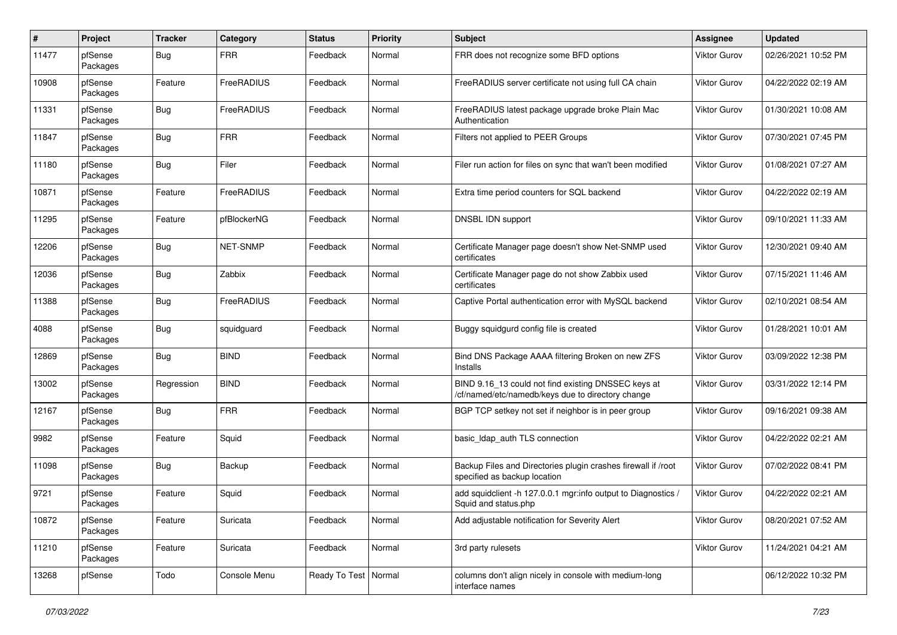| $\#$  | Project             | <b>Tracker</b> | Category        | <b>Status</b>          | <b>Priority</b> | <b>Subject</b>                                                                                           | <b>Assignee</b>     | <b>Updated</b>      |
|-------|---------------------|----------------|-----------------|------------------------|-----------------|----------------------------------------------------------------------------------------------------------|---------------------|---------------------|
| 11477 | pfSense<br>Packages | Bug            | <b>FRR</b>      | Feedback               | Normal          | FRR does not recognize some BFD options                                                                  | Viktor Gurov        | 02/26/2021 10:52 PM |
| 10908 | pfSense<br>Packages | Feature        | FreeRADIUS      | Feedback               | Normal          | FreeRADIUS server certificate not using full CA chain                                                    | Viktor Gurov        | 04/22/2022 02:19 AM |
| 11331 | pfSense<br>Packages | <b>Bug</b>     | FreeRADIUS      | Feedback               | Normal          | FreeRADIUS latest package upgrade broke Plain Mac<br>Authentication                                      | Viktor Gurov        | 01/30/2021 10:08 AM |
| 11847 | pfSense<br>Packages | <b>Bug</b>     | <b>FRR</b>      | Feedback               | Normal          | Filters not applied to PEER Groups                                                                       | <b>Viktor Gurov</b> | 07/30/2021 07:45 PM |
| 11180 | pfSense<br>Packages | <b>Bug</b>     | Filer           | Feedback               | Normal          | Filer run action for files on sync that wan't been modified                                              | <b>Viktor Gurov</b> | 01/08/2021 07:27 AM |
| 10871 | pfSense<br>Packages | Feature        | FreeRADIUS      | Feedback               | Normal          | Extra time period counters for SQL backend                                                               | <b>Viktor Gurov</b> | 04/22/2022 02:19 AM |
| 11295 | pfSense<br>Packages | Feature        | pfBlockerNG     | Feedback               | Normal          | DNSBL IDN support                                                                                        | <b>Viktor Gurov</b> | 09/10/2021 11:33 AM |
| 12206 | pfSense<br>Packages | <b>Bug</b>     | <b>NET-SNMP</b> | Feedback               | Normal          | Certificate Manager page doesn't show Net-SNMP used<br>certificates                                      | Viktor Gurov        | 12/30/2021 09:40 AM |
| 12036 | pfSense<br>Packages | <b>Bug</b>     | Zabbix          | Feedback               | Normal          | Certificate Manager page do not show Zabbix used<br>certificates                                         | Viktor Gurov        | 07/15/2021 11:46 AM |
| 11388 | pfSense<br>Packages | <b>Bug</b>     | FreeRADIUS      | Feedback               | Normal          | Captive Portal authentication error with MySQL backend                                                   | Viktor Gurov        | 02/10/2021 08:54 AM |
| 4088  | pfSense<br>Packages | <b>Bug</b>     | squidguard      | Feedback               | Normal          | Buggy squidgurd config file is created                                                                   | <b>Viktor Gurov</b> | 01/28/2021 10:01 AM |
| 12869 | pfSense<br>Packages | <b>Bug</b>     | <b>BIND</b>     | Feedback               | Normal          | Bind DNS Package AAAA filtering Broken on new ZFS<br>Installs                                            | Viktor Gurov        | 03/09/2022 12:38 PM |
| 13002 | pfSense<br>Packages | Regression     | <b>BIND</b>     | Feedback               | Normal          | BIND 9.16 13 could not find existing DNSSEC keys at<br>/cf/named/etc/namedb/keys due to directory change | <b>Viktor Gurov</b> | 03/31/2022 12:14 PM |
| 12167 | pfSense<br>Packages | <b>Bug</b>     | <b>FRR</b>      | Feedback               | Normal          | BGP TCP setkey not set if neighbor is in peer group                                                      | Viktor Gurov        | 09/16/2021 09:38 AM |
| 9982  | pfSense<br>Packages | Feature        | Squid           | Feedback               | Normal          | basic_Idap_auth TLS connection                                                                           | Viktor Gurov        | 04/22/2022 02:21 AM |
| 11098 | pfSense<br>Packages | <b>Bug</b>     | Backup          | Feedback               | Normal          | Backup Files and Directories plugin crashes firewall if /root<br>specified as backup location            | <b>Viktor Gurov</b> | 07/02/2022 08:41 PM |
| 9721  | pfSense<br>Packages | Feature        | Squid           | Feedback               | Normal          | add squidclient -h 127.0.0.1 mgr:info output to Diagnostics /<br>Squid and status.php                    | Viktor Gurov        | 04/22/2022 02:21 AM |
| 10872 | pfSense<br>Packages | Feature        | Suricata        | Feedback               | Normal          | Add adjustable notification for Severity Alert                                                           | Viktor Gurov        | 08/20/2021 07:52 AM |
| 11210 | pfSense<br>Packages | Feature        | Suricata        | Feedback               | Normal          | 3rd party rulesets                                                                                       | Viktor Gurov        | 11/24/2021 04:21 AM |
| 13268 | pfSense             | Todo           | Console Menu    | Ready To Test   Normal |                 | columns don't align nicely in console with medium-long<br>interface names                                |                     | 06/12/2022 10:32 PM |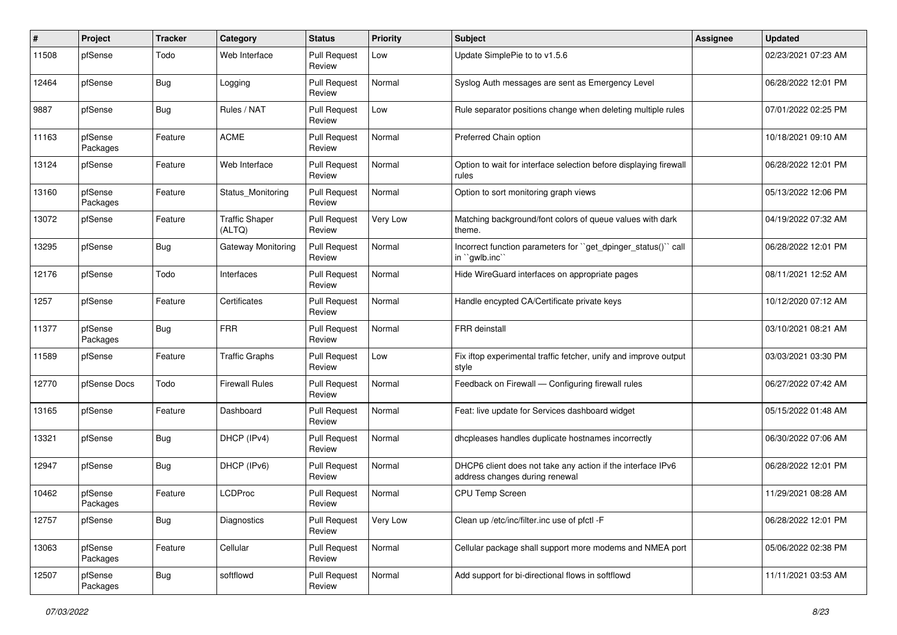| #     | Project             | <b>Tracker</b> | Category                        | <b>Status</b>                 | <b>Priority</b> | <b>Subject</b>                                                                                | <b>Assignee</b> | <b>Updated</b>      |
|-------|---------------------|----------------|---------------------------------|-------------------------------|-----------------|-----------------------------------------------------------------------------------------------|-----------------|---------------------|
| 11508 | pfSense             | Todo           | Web Interface                   | <b>Pull Request</b><br>Review | Low             | Update SimplePie to to v1.5.6                                                                 |                 | 02/23/2021 07:23 AM |
| 12464 | pfSense             | Bug            | Logging                         | <b>Pull Request</b><br>Review | Normal          | Syslog Auth messages are sent as Emergency Level                                              |                 | 06/28/2022 12:01 PM |
| 9887  | pfSense             | Bug            | Rules / NAT                     | <b>Pull Request</b><br>Review | Low             | Rule separator positions change when deleting multiple rules                                  |                 | 07/01/2022 02:25 PM |
| 11163 | pfSense<br>Packages | Feature        | <b>ACME</b>                     | <b>Pull Request</b><br>Review | Normal          | Preferred Chain option                                                                        |                 | 10/18/2021 09:10 AM |
| 13124 | pfSense             | Feature        | Web Interface                   | <b>Pull Request</b><br>Review | Normal          | Option to wait for interface selection before displaying firewall<br>rules                    |                 | 06/28/2022 12:01 PM |
| 13160 | pfSense<br>Packages | Feature        | Status Monitoring               | Pull Request<br>Review        | Normal          | Option to sort monitoring graph views                                                         |                 | 05/13/2022 12:06 PM |
| 13072 | pfSense             | Feature        | <b>Traffic Shaper</b><br>(ALTQ) | <b>Pull Request</b><br>Review | Very Low        | Matching background/font colors of queue values with dark<br>theme.                           |                 | 04/19/2022 07:32 AM |
| 13295 | pfSense             | <b>Bug</b>     | Gateway Monitoring              | <b>Pull Request</b><br>Review | Normal          | Incorrect function parameters for "get_dpinger_status()" call<br>in `gwlb.inc`                |                 | 06/28/2022 12:01 PM |
| 12176 | pfSense             | Todo           | Interfaces                      | <b>Pull Request</b><br>Review | Normal          | Hide WireGuard interfaces on appropriate pages                                                |                 | 08/11/2021 12:52 AM |
| 1257  | pfSense             | Feature        | Certificates                    | <b>Pull Request</b><br>Review | Normal          | Handle encypted CA/Certificate private keys                                                   |                 | 10/12/2020 07:12 AM |
| 11377 | pfSense<br>Packages | <b>Bug</b>     | <b>FRR</b>                      | <b>Pull Request</b><br>Review | Normal          | FRR deinstall                                                                                 |                 | 03/10/2021 08:21 AM |
| 11589 | pfSense             | Feature        | <b>Traffic Graphs</b>           | <b>Pull Request</b><br>Review | Low             | Fix iftop experimental traffic fetcher, unify and improve output<br>style                     |                 | 03/03/2021 03:30 PM |
| 12770 | pfSense Docs        | Todo           | <b>Firewall Rules</b>           | <b>Pull Request</b><br>Review | Normal          | Feedback on Firewall - Configuring firewall rules                                             |                 | 06/27/2022 07:42 AM |
| 13165 | pfSense             | Feature        | Dashboard                       | <b>Pull Request</b><br>Review | Normal          | Feat: live update for Services dashboard widget                                               |                 | 05/15/2022 01:48 AM |
| 13321 | pfSense             | <b>Bug</b>     | DHCP (IPv4)                     | <b>Pull Request</b><br>Review | Normal          | dhcpleases handles duplicate hostnames incorrectly                                            |                 | 06/30/2022 07:06 AM |
| 12947 | pfSense             | <b>Bug</b>     | DHCP (IPv6)                     | <b>Pull Request</b><br>Review | Normal          | DHCP6 client does not take any action if the interface IPv6<br>address changes during renewal |                 | 06/28/2022 12:01 PM |
| 10462 | pfSense<br>Packages | Feature        | LCDProc                         | <b>Pull Request</b><br>Review | Normal          | CPU Temp Screen                                                                               |                 | 11/29/2021 08:28 AM |
| 12757 | pfSense             | <b>Bug</b>     | Diagnostics                     | <b>Pull Request</b><br>Review | Very Low        | Clean up /etc/inc/filter.inc use of pfctl -F                                                  |                 | 06/28/2022 12:01 PM |
| 13063 | pfSense<br>Packages | Feature        | Cellular                        | <b>Pull Request</b><br>Review | Normal          | Cellular package shall support more modems and NMEA port                                      |                 | 05/06/2022 02:38 PM |
| 12507 | pfSense<br>Packages | <b>Bug</b>     | softflowd                       | <b>Pull Request</b><br>Review | Normal          | Add support for bi-directional flows in softflowd                                             |                 | 11/11/2021 03:53 AM |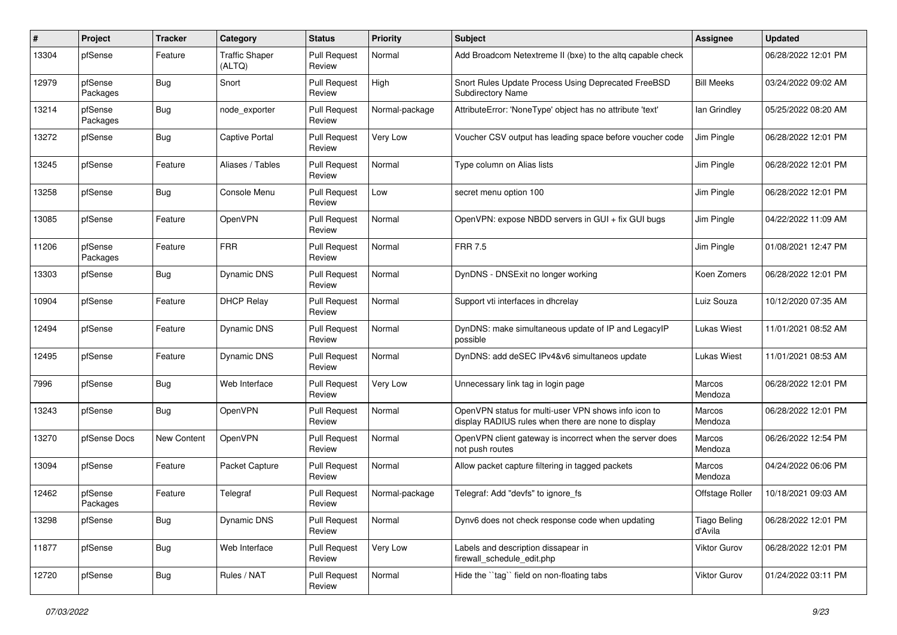| #     | Project             | <b>Tracker</b> | Category                        | <b>Status</b>                 | <b>Priority</b> | <b>Subject</b>                                                                                              | <b>Assignee</b>                | <b>Updated</b>      |
|-------|---------------------|----------------|---------------------------------|-------------------------------|-----------------|-------------------------------------------------------------------------------------------------------------|--------------------------------|---------------------|
| 13304 | pfSense             | Feature        | <b>Traffic Shaper</b><br>(ALTQ) | <b>Pull Request</b><br>Review | Normal          | Add Broadcom Netextreme II (bxe) to the altq capable check                                                  |                                | 06/28/2022 12:01 PM |
| 12979 | pfSense<br>Packages | Bug            | Snort                           | <b>Pull Request</b><br>Review | High            | Snort Rules Update Process Using Deprecated FreeBSD<br><b>Subdirectory Name</b>                             | <b>Bill Meeks</b>              | 03/24/2022 09:02 AM |
| 13214 | pfSense<br>Packages | <b>Bug</b>     | node exporter                   | <b>Pull Request</b><br>Review | Normal-package  | AttributeError: 'NoneType' object has no attribute 'text'                                                   | lan Grindley                   | 05/25/2022 08:20 AM |
| 13272 | pfSense             | Bug            | <b>Captive Portal</b>           | <b>Pull Request</b><br>Review | Very Low        | Voucher CSV output has leading space before voucher code                                                    | Jim Pingle                     | 06/28/2022 12:01 PM |
| 13245 | pfSense             | Feature        | Aliases / Tables                | <b>Pull Request</b><br>Review | Normal          | Type column on Alias lists                                                                                  | Jim Pingle                     | 06/28/2022 12:01 PM |
| 13258 | pfSense             | Bug            | Console Menu                    | <b>Pull Request</b><br>Review | Low             | secret menu option 100                                                                                      | Jim Pingle                     | 06/28/2022 12:01 PM |
| 13085 | pfSense             | Feature        | OpenVPN                         | <b>Pull Request</b><br>Review | Normal          | OpenVPN: expose NBDD servers in GUI + fix GUI bugs                                                          | Jim Pingle                     | 04/22/2022 11:09 AM |
| 11206 | pfSense<br>Packages | Feature        | <b>FRR</b>                      | <b>Pull Request</b><br>Review | Normal          | <b>FRR 7.5</b>                                                                                              | Jim Pingle                     | 01/08/2021 12:47 PM |
| 13303 | pfSense             | Bug            | Dynamic DNS                     | <b>Pull Request</b><br>Review | Normal          | DynDNS - DNSExit no longer working                                                                          | Koen Zomers                    | 06/28/2022 12:01 PM |
| 10904 | pfSense             | Feature        | <b>DHCP Relay</b>               | <b>Pull Request</b><br>Review | Normal          | Support vti interfaces in dhcrelay                                                                          | Luiz Souza                     | 10/12/2020 07:35 AM |
| 12494 | pfSense             | Feature        | Dynamic DNS                     | <b>Pull Request</b><br>Review | Normal          | DynDNS: make simultaneous update of IP and LegacyIP<br>possible                                             | <b>Lukas Wiest</b>             | 11/01/2021 08:52 AM |
| 12495 | pfSense             | Feature        | Dynamic DNS                     | <b>Pull Request</b><br>Review | Normal          | DynDNS: add deSEC IPv4&v6 simultaneos update                                                                | <b>Lukas Wiest</b>             | 11/01/2021 08:53 AM |
| 7996  | pfSense             | <b>Bug</b>     | Web Interface                   | <b>Pull Request</b><br>Review | Very Low        | Unnecessary link tag in login page                                                                          | Marcos<br>Mendoza              | 06/28/2022 12:01 PM |
| 13243 | pfSense             | <b>Bug</b>     | OpenVPN                         | <b>Pull Request</b><br>Review | Normal          | OpenVPN status for multi-user VPN shows info icon to<br>display RADIUS rules when there are none to display | Marcos<br>Mendoza              | 06/28/2022 12:01 PM |
| 13270 | pfSense Docs        | New Content    | OpenVPN                         | <b>Pull Request</b><br>Review | Normal          | OpenVPN client gateway is incorrect when the server does<br>not push routes                                 | Marcos<br>Mendoza              | 06/26/2022 12:54 PM |
| 13094 | pfSense             | Feature        | Packet Capture                  | <b>Pull Request</b><br>Review | Normal          | Allow packet capture filtering in tagged packets                                                            | Marcos<br>Mendoza              | 04/24/2022 06:06 PM |
| 12462 | pfSense<br>Packages | Feature        | Telegraf                        | <b>Pull Request</b><br>Review | Normal-package  | Telegraf: Add "devfs" to ignore fs                                                                          | Offstage Roller                | 10/18/2021 09:03 AM |
| 13298 | pfSense             | <b>Bug</b>     | Dynamic DNS                     | <b>Pull Request</b><br>Review | Normal          | Dynv6 does not check response code when updating                                                            | <b>Tiago Beling</b><br>d'Avila | 06/28/2022 12:01 PM |
| 11877 | pfSense             | <b>Bug</b>     | Web Interface                   | <b>Pull Request</b><br>Review | Very Low        | Labels and description dissapear in<br>firewall schedule edit.php                                           | Viktor Gurov                   | 06/28/2022 12:01 PM |
| 12720 | pfSense             | <b>Bug</b>     | Rules / NAT                     | Pull Request<br>Review        | Normal          | Hide the "tag" field on non-floating tabs                                                                   | Viktor Gurov                   | 01/24/2022 03:11 PM |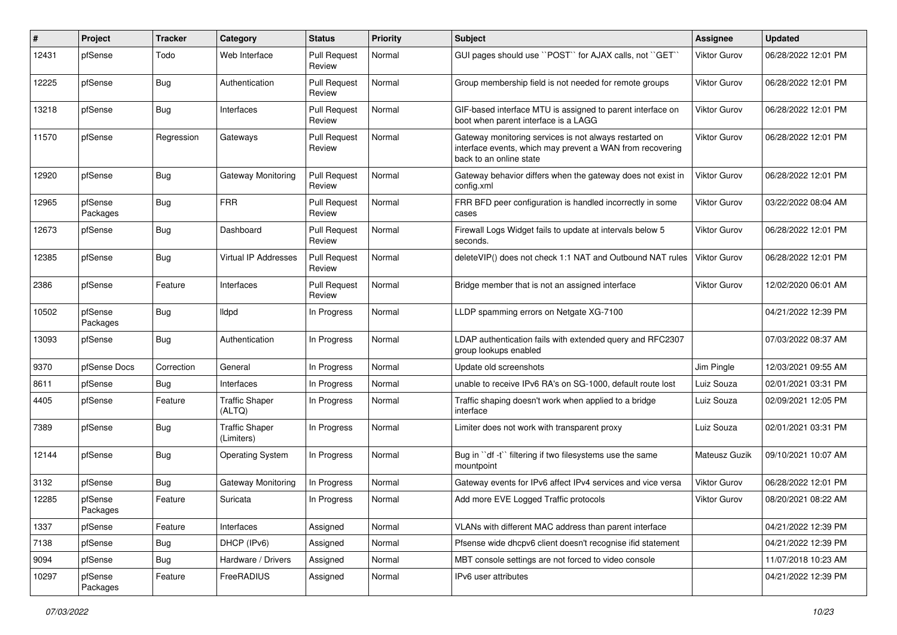| #     | Project             | <b>Tracker</b> | Category                            | <b>Status</b>                 | <b>Priority</b> | <b>Subject</b>                                                                                                                                 | <b>Assignee</b>     | <b>Updated</b>      |
|-------|---------------------|----------------|-------------------------------------|-------------------------------|-----------------|------------------------------------------------------------------------------------------------------------------------------------------------|---------------------|---------------------|
| 12431 | pfSense             | Todo           | Web Interface                       | <b>Pull Request</b><br>Review | Normal          | GUI pages should use "POST" for AJAX calls, not "GET"                                                                                          | Viktor Gurov        | 06/28/2022 12:01 PM |
| 12225 | pfSense             | Bug            | Authentication                      | <b>Pull Request</b><br>Review | Normal          | Group membership field is not needed for remote groups                                                                                         | Viktor Gurov        | 06/28/2022 12:01 PM |
| 13218 | pfSense             | <b>Bug</b>     | Interfaces                          | <b>Pull Request</b><br>Review | Normal          | GIF-based interface MTU is assigned to parent interface on<br>boot when parent interface is a LAGG                                             | Viktor Gurov        | 06/28/2022 12:01 PM |
| 11570 | pfSense             | Regression     | Gateways                            | <b>Pull Request</b><br>Review | Normal          | Gateway monitoring services is not always restarted on<br>interface events, which may prevent a WAN from recovering<br>back to an online state | Viktor Gurov        | 06/28/2022 12:01 PM |
| 12920 | pfSense             | <b>Bug</b>     | Gateway Monitoring                  | <b>Pull Request</b><br>Review | Normal          | Gateway behavior differs when the gateway does not exist in<br>config.xml                                                                      | Viktor Gurov        | 06/28/2022 12:01 PM |
| 12965 | pfSense<br>Packages | <b>Bug</b>     | <b>FRR</b>                          | <b>Pull Request</b><br>Review | Normal          | FRR BFD peer configuration is handled incorrectly in some<br>cases                                                                             | <b>Viktor Gurov</b> | 03/22/2022 08:04 AM |
| 12673 | pfSense             | <b>Bug</b>     | Dashboard                           | <b>Pull Request</b><br>Review | Normal          | Firewall Logs Widget fails to update at intervals below 5<br>seconds.                                                                          | Viktor Gurov        | 06/28/2022 12:01 PM |
| 12385 | pfSense             | <b>Bug</b>     | <b>Virtual IP Addresses</b>         | <b>Pull Request</b><br>Review | Normal          | deleteVIP() does not check 1:1 NAT and Outbound NAT rules                                                                                      | <b>Viktor Gurov</b> | 06/28/2022 12:01 PM |
| 2386  | pfSense             | Feature        | Interfaces                          | <b>Pull Request</b><br>Review | Normal          | Bridge member that is not an assigned interface                                                                                                | Viktor Gurov        | 12/02/2020 06:01 AM |
| 10502 | pfSense<br>Packages | Bug            | lldpd                               | In Progress                   | Normal          | LLDP spamming errors on Netgate XG-7100                                                                                                        |                     | 04/21/2022 12:39 PM |
| 13093 | pfSense             | <b>Bug</b>     | Authentication                      | In Progress                   | Normal          | LDAP authentication fails with extended query and RFC2307<br>group lookups enabled                                                             |                     | 07/03/2022 08:37 AM |
| 9370  | pfSense Docs        | Correction     | General                             | In Progress                   | Normal          | Update old screenshots                                                                                                                         | Jim Pingle          | 12/03/2021 09:55 AM |
| 8611  | pfSense             | <b>Bug</b>     | Interfaces                          | In Progress                   | Normal          | unable to receive IPv6 RA's on SG-1000, default route lost                                                                                     | Luiz Souza          | 02/01/2021 03:31 PM |
| 4405  | pfSense             | Feature        | <b>Traffic Shaper</b><br>(ALTQ)     | In Progress                   | Normal          | Traffic shaping doesn't work when applied to a bridge<br>interface                                                                             | Luiz Souza          | 02/09/2021 12:05 PM |
| 7389  | pfSense             | Bug            | <b>Traffic Shaper</b><br>(Limiters) | In Progress                   | Normal          | Limiter does not work with transparent proxy                                                                                                   | Luiz Souza          | 02/01/2021 03:31 PM |
| 12144 | pfSense             | Bug            | <b>Operating System</b>             | In Progress                   | Normal          | Bug in "df -t" filtering if two filesystems use the same<br>mountpoint                                                                         | Mateusz Guzik       | 09/10/2021 10:07 AM |
| 3132  | pfSense             | Bug            | Gateway Monitoring                  | In Progress                   | Normal          | Gateway events for IPv6 affect IPv4 services and vice versa                                                                                    | <b>Viktor Gurov</b> | 06/28/2022 12:01 PM |
| 12285 | pfSense<br>Packages | Feature        | Suricata                            | In Progress                   | Normal          | Add more EVE Logged Traffic protocols                                                                                                          | <b>Viktor Gurov</b> | 08/20/2021 08:22 AM |
| 1337  | pfSense             | Feature        | Interfaces                          | Assigned                      | Normal          | VLANs with different MAC address than parent interface                                                                                         |                     | 04/21/2022 12:39 PM |
| 7138  | pfSense             | <b>Bug</b>     | DHCP (IPv6)                         | Assigned                      | Normal          | Pfsense wide dhcpv6 client doesn't recognise ifid statement                                                                                    |                     | 04/21/2022 12:39 PM |
| 9094  | pfSense             | <b>Bug</b>     | Hardware / Drivers                  | Assigned                      | Normal          | MBT console settings are not forced to video console                                                                                           |                     | 11/07/2018 10:23 AM |
| 10297 | pfSense<br>Packages | Feature        | FreeRADIUS                          | Assigned                      | Normal          | IPv6 user attributes                                                                                                                           |                     | 04/21/2022 12:39 PM |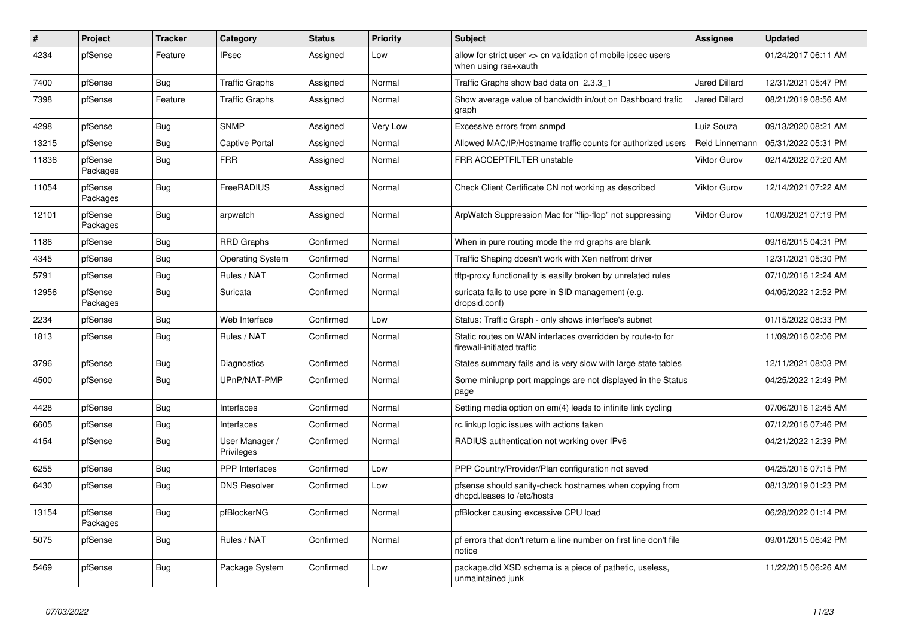| $\pmb{\#}$ | Project             | <b>Tracker</b> | Category                     | <b>Status</b> | <b>Priority</b> | <b>Subject</b>                                                                           | <b>Assignee</b>      | <b>Updated</b>      |
|------------|---------------------|----------------|------------------------------|---------------|-----------------|------------------------------------------------------------------------------------------|----------------------|---------------------|
| 4234       | pfSense             | Feature        | <b>IPsec</b>                 | Assigned      | Low             | allow for strict user <> cn validation of mobile ipsec users<br>when using rsa+xauth     |                      | 01/24/2017 06:11 AM |
| 7400       | pfSense             | <b>Bug</b>     | <b>Traffic Graphs</b>        | Assigned      | Normal          | Traffic Graphs show bad data on 2.3.3 1                                                  | <b>Jared Dillard</b> | 12/31/2021 05:47 PM |
| 7398       | pfSense             | Feature        | <b>Traffic Graphs</b>        | Assigned      | Normal          | Show average value of bandwidth in/out on Dashboard trafic<br>graph                      | <b>Jared Dillard</b> | 08/21/2019 08:56 AM |
| 4298       | pfSense             | <b>Bug</b>     | <b>SNMP</b>                  | Assigned      | Very Low        | Excessive errors from snmpd                                                              | Luiz Souza           | 09/13/2020 08:21 AM |
| 13215      | pfSense             | <b>Bug</b>     | Captive Portal               | Assigned      | Normal          | Allowed MAC/IP/Hostname traffic counts for authorized users                              | Reid Linnemann       | 05/31/2022 05:31 PM |
| 11836      | pfSense<br>Packages | Bug            | <b>FRR</b>                   | Assigned      | Normal          | FRR ACCEPTFILTER unstable                                                                | <b>Viktor Gurov</b>  | 02/14/2022 07:20 AM |
| 11054      | pfSense<br>Packages | <b>Bug</b>     | FreeRADIUS                   | Assigned      | Normal          | Check Client Certificate CN not working as described                                     | <b>Viktor Gurov</b>  | 12/14/2021 07:22 AM |
| 12101      | pfSense<br>Packages | Bug            | arpwatch                     | Assigned      | Normal          | ArpWatch Suppression Mac for "flip-flop" not suppressing                                 | <b>Viktor Gurov</b>  | 10/09/2021 07:19 PM |
| 1186       | pfSense             | <b>Bug</b>     | <b>RRD Graphs</b>            | Confirmed     | Normal          | When in pure routing mode the rrd graphs are blank                                       |                      | 09/16/2015 04:31 PM |
| 4345       | pfSense             | <b>Bug</b>     | <b>Operating System</b>      | Confirmed     | Normal          | Traffic Shaping doesn't work with Xen netfront driver                                    |                      | 12/31/2021 05:30 PM |
| 5791       | pfSense             | <b>Bug</b>     | Rules / NAT                  | Confirmed     | Normal          | tftp-proxy functionality is easilly broken by unrelated rules                            |                      | 07/10/2016 12:24 AM |
| 12956      | pfSense<br>Packages | Bug            | Suricata                     | Confirmed     | Normal          | suricata fails to use pcre in SID management (e.g.<br>dropsid.conf)                      |                      | 04/05/2022 12:52 PM |
| 2234       | pfSense             | <b>Bug</b>     | Web Interface                | Confirmed     | Low             | Status: Traffic Graph - only shows interface's subnet                                    |                      | 01/15/2022 08:33 PM |
| 1813       | pfSense             | <b>Bug</b>     | Rules / NAT                  | Confirmed     | Normal          | Static routes on WAN interfaces overridden by route-to for<br>firewall-initiated traffic |                      | 11/09/2016 02:06 PM |
| 3796       | pfSense             | Bug            | Diagnostics                  | Confirmed     | Normal          | States summary fails and is very slow with large state tables                            |                      | 12/11/2021 08:03 PM |
| 4500       | pfSense             | <b>Bug</b>     | UPnP/NAT-PMP                 | Confirmed     | Normal          | Some miniupnp port mappings are not displayed in the Status<br>page                      |                      | 04/25/2022 12:49 PM |
| 4428       | pfSense             | <b>Bug</b>     | Interfaces                   | Confirmed     | Normal          | Setting media option on em(4) leads to infinite link cycling                             |                      | 07/06/2016 12:45 AM |
| 6605       | pfSense             | <b>Bug</b>     | Interfaces                   | Confirmed     | Normal          | rc.linkup logic issues with actions taken                                                |                      | 07/12/2016 07:46 PM |
| 4154       | pfSense             | <b>Bug</b>     | User Manager /<br>Privileges | Confirmed     | Normal          | RADIUS authentication not working over IPv6                                              |                      | 04/21/2022 12:39 PM |
| 6255       | pfSense             | <b>Bug</b>     | <b>PPP</b> Interfaces        | Confirmed     | Low             | PPP Country/Provider/Plan configuration not saved                                        |                      | 04/25/2016 07:15 PM |
| 6430       | pfSense             | <b>Bug</b>     | <b>DNS Resolver</b>          | Confirmed     | Low             | pfsense should sanity-check hostnames when copying from<br>dhcpd.leases to /etc/hosts    |                      | 08/13/2019 01:23 PM |
| 13154      | pfSense<br>Packages | Bug            | pfBlockerNG                  | Confirmed     | Normal          | pfBlocker causing excessive CPU load                                                     |                      | 06/28/2022 01:14 PM |
| 5075       | pfSense             | <b>Bug</b>     | Rules / NAT                  | Confirmed     | Normal          | pf errors that don't return a line number on first line don't file<br>notice             |                      | 09/01/2015 06:42 PM |
| 5469       | pfSense             | <b>Bug</b>     | Package System               | Confirmed     | Low             | package dtd XSD schema is a piece of pathetic, useless,<br>unmaintained junk             |                      | 11/22/2015 06:26 AM |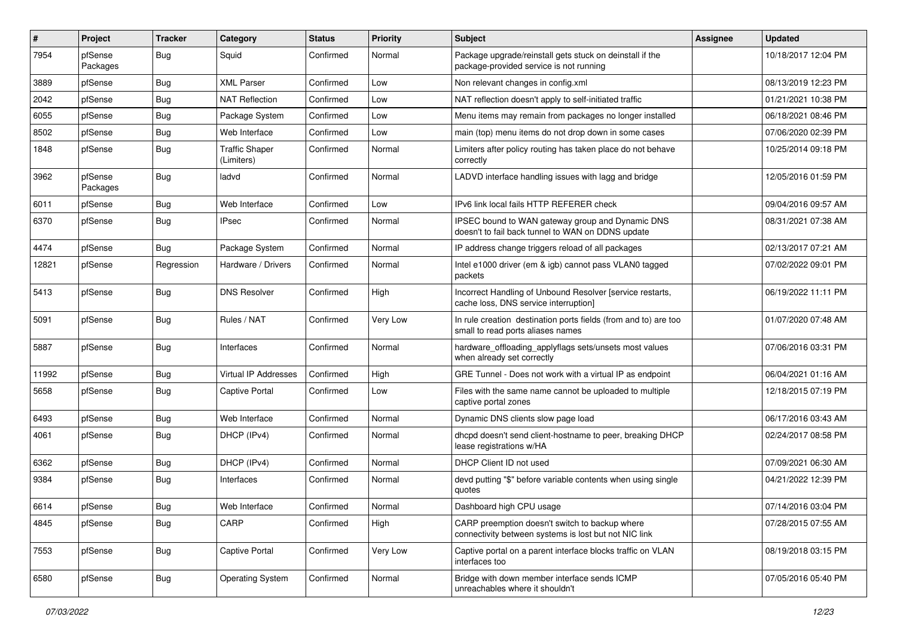| #     | Project             | <b>Tracker</b> | Category                            | <b>Status</b> | Priority | Subject                                                                                                 | <b>Assignee</b> | <b>Updated</b>      |
|-------|---------------------|----------------|-------------------------------------|---------------|----------|---------------------------------------------------------------------------------------------------------|-----------------|---------------------|
| 7954  | pfSense<br>Packages | Bug            | Squid                               | Confirmed     | Normal   | Package upgrade/reinstall gets stuck on deinstall if the<br>package-provided service is not running     |                 | 10/18/2017 12:04 PM |
| 3889  | pfSense             | <b>Bug</b>     | <b>XML Parser</b>                   | Confirmed     | Low      | Non relevant changes in config.xml                                                                      |                 | 08/13/2019 12:23 PM |
| 2042  | pfSense             | <b>Bug</b>     | <b>NAT Reflection</b>               | Confirmed     | Low      | NAT reflection doesn't apply to self-initiated traffic                                                  |                 | 01/21/2021 10:38 PM |
| 6055  | pfSense             | <b>Bug</b>     | Package System                      | Confirmed     | Low      | Menu items may remain from packages no longer installed                                                 |                 | 06/18/2021 08:46 PM |
| 8502  | pfSense             | <b>Bug</b>     | Web Interface                       | Confirmed     | Low      | main (top) menu items do not drop down in some cases                                                    |                 | 07/06/2020 02:39 PM |
| 1848  | pfSense             | <b>Bug</b>     | <b>Traffic Shaper</b><br>(Limiters) | Confirmed     | Normal   | Limiters after policy routing has taken place do not behave<br>correctly                                |                 | 10/25/2014 09:18 PM |
| 3962  | pfSense<br>Packages | <b>Bug</b>     | ladvd                               | Confirmed     | Normal   | LADVD interface handling issues with lagg and bridge                                                    |                 | 12/05/2016 01:59 PM |
| 6011  | pfSense             | Bug            | Web Interface                       | Confirmed     | Low      | IPv6 link local fails HTTP REFERER check                                                                |                 | 09/04/2016 09:57 AM |
| 6370  | pfSense             | <b>Bug</b>     | IPsec                               | Confirmed     | Normal   | IPSEC bound to WAN gateway group and Dynamic DNS<br>doesn't to fail back tunnel to WAN on DDNS update   |                 | 08/31/2021 07:38 AM |
| 4474  | pfSense             | <b>Bug</b>     | Package System                      | Confirmed     | Normal   | IP address change triggers reload of all packages                                                       |                 | 02/13/2017 07:21 AM |
| 12821 | pfSense             | Regression     | Hardware / Drivers                  | Confirmed     | Normal   | Intel e1000 driver (em & igb) cannot pass VLAN0 tagged<br>packets                                       |                 | 07/02/2022 09:01 PM |
| 5413  | pfSense             | <b>Bug</b>     | <b>DNS Resolver</b>                 | Confirmed     | High     | Incorrect Handling of Unbound Resolver [service restarts,<br>cache loss, DNS service interruption]      |                 | 06/19/2022 11:11 PM |
| 5091  | pfSense             | <b>Bug</b>     | Rules / NAT                         | Confirmed     | Very Low | In rule creation destination ports fields (from and to) are too<br>small to read ports aliases names    |                 | 01/07/2020 07:48 AM |
| 5887  | pfSense             | <b>Bug</b>     | Interfaces                          | Confirmed     | Normal   | hardware_offloading_applyflags sets/unsets most values<br>when already set correctly                    |                 | 07/06/2016 03:31 PM |
| 11992 | pfSense             | <b>Bug</b>     | Virtual IP Addresses                | Confirmed     | High     | GRE Tunnel - Does not work with a virtual IP as endpoint                                                |                 | 06/04/2021 01:16 AM |
| 5658  | pfSense             | <b>Bug</b>     | Captive Portal                      | Confirmed     | Low      | Files with the same name cannot be uploaded to multiple<br>captive portal zones                         |                 | 12/18/2015 07:19 PM |
| 6493  | pfSense             | <b>Bug</b>     | Web Interface                       | Confirmed     | Normal   | Dynamic DNS clients slow page load                                                                      |                 | 06/17/2016 03:43 AM |
| 4061  | pfSense             | <b>Bug</b>     | DHCP (IPv4)                         | Confirmed     | Normal   | dhcpd doesn't send client-hostname to peer, breaking DHCP<br>lease registrations w/HA                   |                 | 02/24/2017 08:58 PM |
| 6362  | pfSense             | <b>Bug</b>     | DHCP (IPv4)                         | Confirmed     | Normal   | DHCP Client ID not used                                                                                 |                 | 07/09/2021 06:30 AM |
| 9384  | pfSense             | <b>Bug</b>     | Interfaces                          | Confirmed     | Normal   | devd putting "\$" before variable contents when using single<br>quotes                                  |                 | 04/21/2022 12:39 PM |
| 6614  | pfSense             | <b>Bug</b>     | Web Interface                       | Confirmed     | Normal   | Dashboard high CPU usage                                                                                |                 | 07/14/2016 03:04 PM |
| 4845  | pfSense             | Bug            | CARP                                | Confirmed     | High     | CARP preemption doesn't switch to backup where<br>connectivity between systems is lost but not NIC link |                 | 07/28/2015 07:55 AM |
| 7553  | pfSense             | <b>Bug</b>     | Captive Portal                      | Confirmed     | Very Low | Captive portal on a parent interface blocks traffic on VLAN<br>interfaces too                           |                 | 08/19/2018 03:15 PM |
| 6580  | pfSense             | <b>Bug</b>     | <b>Operating System</b>             | Confirmed     | Normal   | Bridge with down member interface sends ICMP<br>unreachables where it shouldn't                         |                 | 07/05/2016 05:40 PM |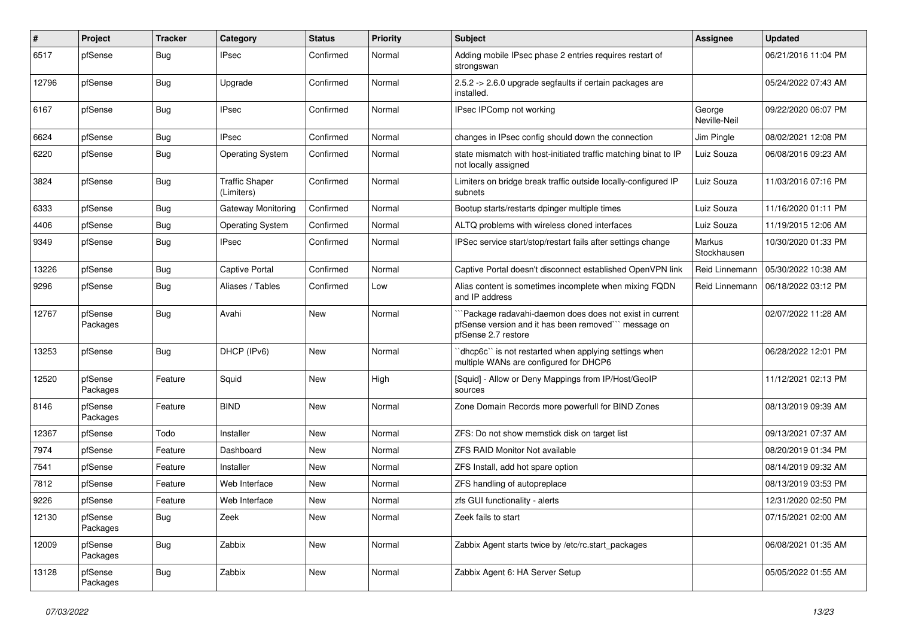| $\sharp$ | Project             | <b>Tracker</b> | Category                            | <b>Status</b> | <b>Priority</b> | Subject                                                                                                                              | <b>Assignee</b>        | <b>Updated</b>      |
|----------|---------------------|----------------|-------------------------------------|---------------|-----------------|--------------------------------------------------------------------------------------------------------------------------------------|------------------------|---------------------|
| 6517     | pfSense             | <b>Bug</b>     | IPsec                               | Confirmed     | Normal          | Adding mobile IPsec phase 2 entries requires restart of<br>strongswan                                                                |                        | 06/21/2016 11:04 PM |
| 12796    | pfSense             | <b>Bug</b>     | Upgrade                             | Confirmed     | Normal          | 2.5.2 -> 2.6.0 upgrade segfaults if certain packages are<br>installed.                                                               |                        | 05/24/2022 07:43 AM |
| 6167     | pfSense             | <b>Bug</b>     | <b>IPsec</b>                        | Confirmed     | Normal          | IPsec IPComp not working                                                                                                             | George<br>Neville-Neil | 09/22/2020 06:07 PM |
| 6624     | pfSense             | <b>Bug</b>     | <b>IPsec</b>                        | Confirmed     | Normal          | changes in IPsec config should down the connection                                                                                   | Jim Pingle             | 08/02/2021 12:08 PM |
| 6220     | pfSense             | <b>Bug</b>     | <b>Operating System</b>             | Confirmed     | Normal          | state mismatch with host-initiated traffic matching binat to IP<br>not locally assigned                                              | Luiz Souza             | 06/08/2016 09:23 AM |
| 3824     | pfSense             | <b>Bug</b>     | <b>Traffic Shaper</b><br>(Limiters) | Confirmed     | Normal          | Limiters on bridge break traffic outside locally-configured IP<br>subnets                                                            | Luiz Souza             | 11/03/2016 07:16 PM |
| 6333     | pfSense             | <b>Bug</b>     | Gateway Monitoring                  | Confirmed     | Normal          | Bootup starts/restarts dpinger multiple times                                                                                        | Luiz Souza             | 11/16/2020 01:11 PM |
| 4406     | pfSense             | <b>Bug</b>     | <b>Operating System</b>             | Confirmed     | Normal          | ALTQ problems with wireless cloned interfaces                                                                                        | Luiz Souza             | 11/19/2015 12:06 AM |
| 9349     | pfSense             | Bug            | IPsec                               | Confirmed     | Normal          | IPSec service start/stop/restart fails after settings change                                                                         | Markus<br>Stockhausen  | 10/30/2020 01:33 PM |
| 13226    | pfSense             | <b>Bug</b>     | Captive Portal                      | Confirmed     | Normal          | Captive Portal doesn't disconnect established OpenVPN link                                                                           | Reid Linnemann         | 05/30/2022 10:38 AM |
| 9296     | pfSense             | <b>Bug</b>     | Aliases / Tables                    | Confirmed     | Low             | Alias content is sometimes incomplete when mixing FQDN<br>and IP address                                                             | Reid Linnemann         | 06/18/2022 03:12 PM |
| 12767    | pfSense<br>Packages | Bug            | Avahi                               | New           | Normal          | Package radavahi-daemon does does not exist in current<br>pfSense version and it has been removed" message on<br>pfSense 2.7 restore |                        | 02/07/2022 11:28 AM |
| 13253    | pfSense             | <b>Bug</b>     | DHCP (IPv6)                         | <b>New</b>    | Normal          | 'dhcp6c'' is not restarted when applying settings when<br>multiple WANs are configured for DHCP6                                     |                        | 06/28/2022 12:01 PM |
| 12520    | pfSense<br>Packages | Feature        | Squid                               | <b>New</b>    | High            | [Squid] - Allow or Deny Mappings from IP/Host/GeoIP<br>sources                                                                       |                        | 11/12/2021 02:13 PM |
| 8146     | pfSense<br>Packages | Feature        | <b>BIND</b>                         | <b>New</b>    | Normal          | Zone Domain Records more powerfull for BIND Zones                                                                                    |                        | 08/13/2019 09:39 AM |
| 12367    | pfSense             | Todo           | Installer                           | New           | Normal          | ZFS: Do not show memstick disk on target list                                                                                        |                        | 09/13/2021 07:37 AM |
| 7974     | pfSense             | Feature        | Dashboard                           | <b>New</b>    | Normal          | <b>ZFS RAID Monitor Not available</b>                                                                                                |                        | 08/20/2019 01:34 PM |
| 7541     | pfSense             | Feature        | Installer                           | <b>New</b>    | Normal          | ZFS Install, add hot spare option                                                                                                    |                        | 08/14/2019 09:32 AM |
| 7812     | pfSense             | Feature        | Web Interface                       | <b>New</b>    | Normal          | ZFS handling of autopreplace                                                                                                         |                        | 08/13/2019 03:53 PM |
| 9226     | pfSense             | Feature        | Web Interface                       | <b>New</b>    | Normal          | zfs GUI functionality - alerts                                                                                                       |                        | 12/31/2020 02:50 PM |
| 12130    | pfSense<br>Packages | <b>Bug</b>     | Zeek                                | New           | Normal          | Zeek fails to start                                                                                                                  |                        | 07/15/2021 02:00 AM |
| 12009    | pfSense<br>Packages | <b>Bug</b>     | Zabbix                              | New           | Normal          | Zabbix Agent starts twice by /etc/rc.start_packages                                                                                  |                        | 06/08/2021 01:35 AM |
| 13128    | pfSense<br>Packages | <b>Bug</b>     | Zabbix                              | New           | Normal          | Zabbix Agent 6: HA Server Setup                                                                                                      |                        | 05/05/2022 01:55 AM |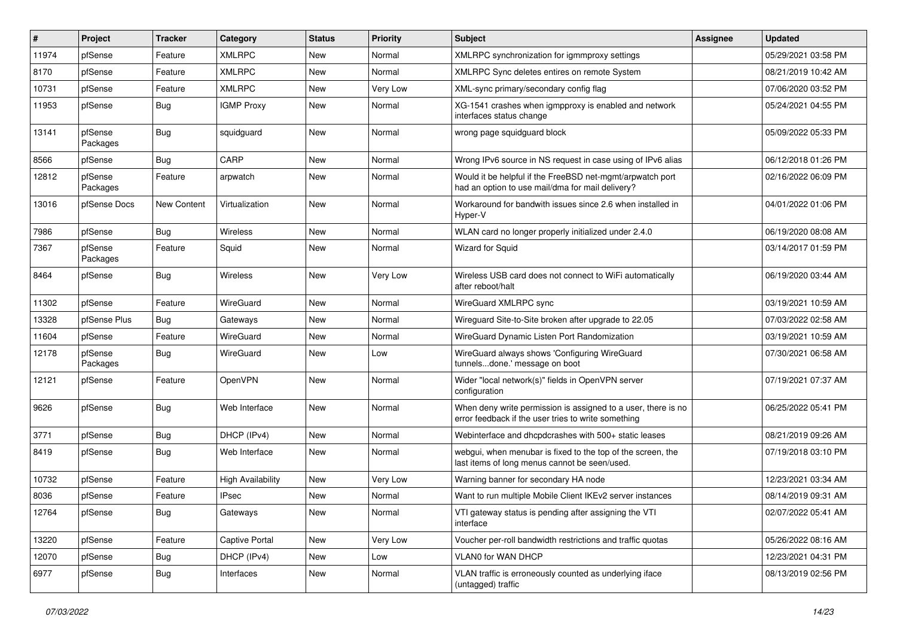| $\vert$ # | Project             | <b>Tracker</b> | Category                 | <b>Status</b> | Priority | Subject                                                                                                              | Assignee | <b>Updated</b>      |
|-----------|---------------------|----------------|--------------------------|---------------|----------|----------------------------------------------------------------------------------------------------------------------|----------|---------------------|
| 11974     | pfSense             | Feature        | <b>XMLRPC</b>            | New           | Normal   | XMLRPC synchronization for igmmproxy settings                                                                        |          | 05/29/2021 03:58 PM |
| 8170      | pfSense             | Feature        | <b>XMLRPC</b>            | New           | Normal   | XMLRPC Sync deletes entires on remote System                                                                         |          | 08/21/2019 10:42 AM |
| 10731     | pfSense             | Feature        | <b>XMLRPC</b>            | New           | Very Low | XML-sync primary/secondary config flag                                                                               |          | 07/06/2020 03:52 PM |
| 11953     | pfSense             | <b>Bug</b>     | <b>IGMP Proxy</b>        | <b>New</b>    | Normal   | XG-1541 crashes when igmpproxy is enabled and network<br>interfaces status change                                    |          | 05/24/2021 04:55 PM |
| 13141     | pfSense<br>Packages | <b>Bug</b>     | squidguard               | <b>New</b>    | Normal   | wrong page squidguard block                                                                                          |          | 05/09/2022 05:33 PM |
| 8566      | pfSense             | <b>Bug</b>     | CARP                     | <b>New</b>    | Normal   | Wrong IPv6 source in NS request in case using of IPv6 alias                                                          |          | 06/12/2018 01:26 PM |
| 12812     | pfSense<br>Packages | Feature        | arpwatch                 | New           | Normal   | Would it be helpful if the FreeBSD net-mgmt/arpwatch port<br>had an option to use mail/dma for mail delivery?        |          | 02/16/2022 06:09 PM |
| 13016     | pfSense Docs        | New Content    | Virtualization           | New           | Normal   | Workaround for bandwith issues since 2.6 when installed in<br>Hyper-V                                                |          | 04/01/2022 01:06 PM |
| 7986      | pfSense             | <b>Bug</b>     | Wireless                 | <b>New</b>    | Normal   | WLAN card no longer properly initialized under 2.4.0                                                                 |          | 06/19/2020 08:08 AM |
| 7367      | pfSense<br>Packages | Feature        | Squid                    | New           | Normal   | Wizard for Squid                                                                                                     |          | 03/14/2017 01:59 PM |
| 8464      | pfSense             | <b>Bug</b>     | Wireless                 | New           | Very Low | Wireless USB card does not connect to WiFi automatically<br>after reboot/halt                                        |          | 06/19/2020 03:44 AM |
| 11302     | pfSense             | Feature        | WireGuard                | New           | Normal   | WireGuard XMLRPC sync                                                                                                |          | 03/19/2021 10:59 AM |
| 13328     | pfSense Plus        | <b>Bug</b>     | Gateways                 | <b>New</b>    | Normal   | Wireguard Site-to-Site broken after upgrade to 22.05                                                                 |          | 07/03/2022 02:58 AM |
| 11604     | pfSense             | Feature        | WireGuard                | New           | Normal   | WireGuard Dynamic Listen Port Randomization                                                                          |          | 03/19/2021 10:59 AM |
| 12178     | pfSense<br>Packages | Bug            | WireGuard                | New           | Low      | WireGuard always shows 'Configuring WireGuard<br>tunnelsdone.' message on boot                                       |          | 07/30/2021 06:58 AM |
| 12121     | pfSense             | Feature        | OpenVPN                  | <b>New</b>    | Normal   | Wider "local network(s)" fields in OpenVPN server<br>configuration                                                   |          | 07/19/2021 07:37 AM |
| 9626      | pfSense             | <b>Bug</b>     | Web Interface            | <b>New</b>    | Normal   | When deny write permission is assigned to a user, there is no<br>error feedback if the user tries to write something |          | 06/25/2022 05:41 PM |
| 3771      | pfSense             | <b>Bug</b>     | DHCP (IPv4)              | New           | Normal   | Webinterface and dhcpdcrashes with 500+ static leases                                                                |          | 08/21/2019 09:26 AM |
| 8419      | pfSense             | Bug            | Web Interface            | New           | Normal   | webgui, when menubar is fixed to the top of the screen, the<br>last items of long menus cannot be seen/used.         |          | 07/19/2018 03:10 PM |
| 10732     | pfSense             | Feature        | <b>High Availability</b> | New           | Very Low | Warning banner for secondary HA node                                                                                 |          | 12/23/2021 03:34 AM |
| 8036      | pfSense             | Feature        | <b>IPsec</b>             | New           | Normal   | Want to run multiple Mobile Client IKEv2 server instances                                                            |          | 08/14/2019 09:31 AM |
| 12764     | pfSense             | Bug            | Gateways                 | New           | Normal   | VTI gateway status is pending after assigning the VTI<br>interface                                                   |          | 02/07/2022 05:41 AM |
| 13220     | pfSense             | Feature        | Captive Portal           | New           | Very Low | Voucher per-roll bandwidth restrictions and traffic quotas                                                           |          | 05/26/2022 08:16 AM |
| 12070     | pfSense             | <b>Bug</b>     | DHCP (IPv4)              | New           | Low      | VLAN0 for WAN DHCP                                                                                                   |          | 12/23/2021 04:31 PM |
| 6977      | pfSense             | <b>Bug</b>     | Interfaces               | New           | Normal   | VLAN traffic is erroneously counted as underlying iface<br>(untagged) traffic                                        |          | 08/13/2019 02:56 PM |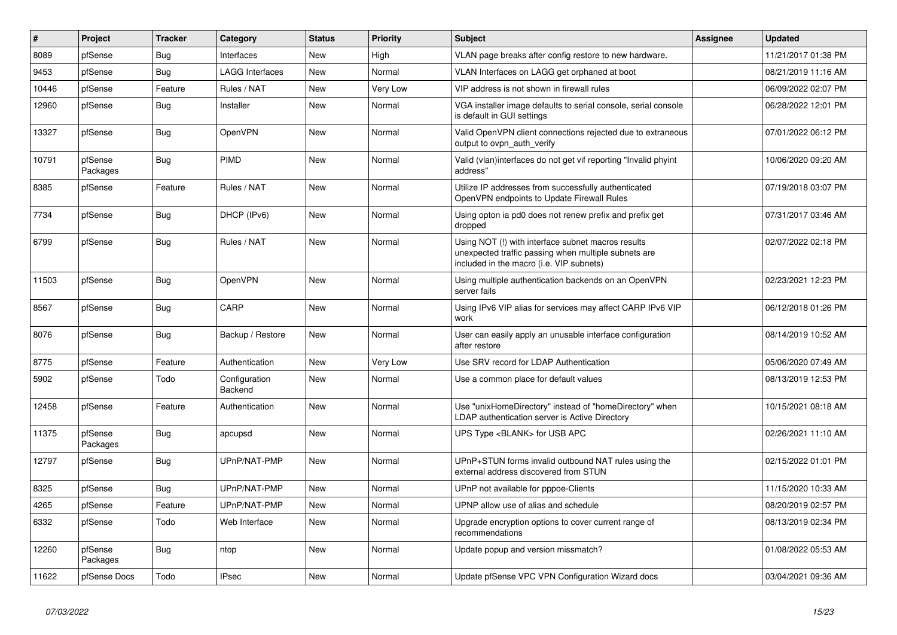| #     | Project             | <b>Tracker</b> | Category                 | <b>Status</b> | <b>Priority</b> | <b>Subject</b>                                                                                                                                         | Assignee | <b>Updated</b>      |
|-------|---------------------|----------------|--------------------------|---------------|-----------------|--------------------------------------------------------------------------------------------------------------------------------------------------------|----------|---------------------|
| 8089  | pfSense             | <b>Bug</b>     | Interfaces               | <b>New</b>    | High            | VLAN page breaks after config restore to new hardware.                                                                                                 |          | 11/21/2017 01:38 PM |
| 9453  | pfSense             | <b>Bug</b>     | <b>LAGG Interfaces</b>   | <b>New</b>    | Normal          | VLAN Interfaces on LAGG get orphaned at boot                                                                                                           |          | 08/21/2019 11:16 AM |
| 10446 | pfSense             | Feature        | Rules / NAT              | New           | Very Low        | VIP address is not shown in firewall rules                                                                                                             |          | 06/09/2022 02:07 PM |
| 12960 | pfSense             | <b>Bug</b>     | Installer                | New           | Normal          | VGA installer image defaults to serial console, serial console<br>is default in GUI settings                                                           |          | 06/28/2022 12:01 PM |
| 13327 | pfSense             | Bug            | <b>OpenVPN</b>           | <b>New</b>    | Normal          | Valid OpenVPN client connections rejected due to extraneous<br>output to ovpn auth verify                                                              |          | 07/01/2022 06:12 PM |
| 10791 | pfSense<br>Packages | Bug            | PIMD                     | <b>New</b>    | Normal          | Valid (vlan)interfaces do not get vif reporting "Invalid phyint<br>address"                                                                            |          | 10/06/2020 09:20 AM |
| 8385  | pfSense             | Feature        | Rules / NAT              | New           | Normal          | Utilize IP addresses from successfully authenticated<br>OpenVPN endpoints to Update Firewall Rules                                                     |          | 07/19/2018 03:07 PM |
| 7734  | pfSense             | Bug            | DHCP (IPv6)              | New           | Normal          | Using opton ia pd0 does not renew prefix and prefix get<br>dropped                                                                                     |          | 07/31/2017 03:46 AM |
| 6799  | pfSense             | <b>Bug</b>     | Rules / NAT              | New           | Normal          | Using NOT (!) with interface subnet macros results<br>unexpected traffic passing when multiple subnets are<br>included in the macro (i.e. VIP subnets) |          | 02/07/2022 02:18 PM |
| 11503 | pfSense             | <b>Bug</b>     | <b>OpenVPN</b>           | <b>New</b>    | Normal          | Using multiple authentication backends on an OpenVPN<br>server fails                                                                                   |          | 02/23/2021 12:23 PM |
| 8567  | pfSense             | <b>Bug</b>     | CARP                     | <b>New</b>    | Normal          | Using IPv6 VIP alias for services may affect CARP IPv6 VIP<br>work                                                                                     |          | 06/12/2018 01:26 PM |
| 8076  | pfSense             | <b>Bug</b>     | Backup / Restore         | New           | Normal          | User can easily apply an unusable interface configuration<br>after restore                                                                             |          | 08/14/2019 10:52 AM |
| 8775  | pfSense             | Feature        | Authentication           | <b>New</b>    | Very Low        | Use SRV record for LDAP Authentication                                                                                                                 |          | 05/06/2020 07:49 AM |
| 5902  | pfSense             | Todo           | Configuration<br>Backend | <b>New</b>    | Normal          | Use a common place for default values                                                                                                                  |          | 08/13/2019 12:53 PM |
| 12458 | pfSense             | Feature        | Authentication           | New           | Normal          | Use "unixHomeDirectory" instead of "homeDirectory" when<br>LDAP authentication server is Active Directory                                              |          | 10/15/2021 08:18 AM |
| 11375 | pfSense<br>Packages | Bug            | apcupsd                  | New           | Normal          | UPS Type <blank> for USB APC</blank>                                                                                                                   |          | 02/26/2021 11:10 AM |
| 12797 | pfSense             | <b>Bug</b>     | UPnP/NAT-PMP             | <b>New</b>    | Normal          | UPnP+STUN forms invalid outbound NAT rules using the<br>external address discovered from STUN                                                          |          | 02/15/2022 01:01 PM |
| 8325  | pfSense             | Bug            | UPnP/NAT-PMP             | <b>New</b>    | Normal          | UPnP not available for pppoe-Clients                                                                                                                   |          | 11/15/2020 10:33 AM |
| 4265  | pfSense             | Feature        | UPnP/NAT-PMP             | <b>New</b>    | Normal          | UPNP allow use of alias and schedule                                                                                                                   |          | 08/20/2019 02:57 PM |
| 6332  | pfSense             | Todo           | Web Interface            | <b>New</b>    | Normal          | Upgrade encryption options to cover current range of<br>recommendations                                                                                |          | 08/13/2019 02:34 PM |
| 12260 | pfSense<br>Packages | <b>Bug</b>     | ntop                     | New           | Normal          | Update popup and version missmatch?                                                                                                                    |          | 01/08/2022 05:53 AM |
| 11622 | pfSense Docs        | Todo           | <b>IPsec</b>             | New           | Normal          | Update pfSense VPC VPN Configuration Wizard docs                                                                                                       |          | 03/04/2021 09:36 AM |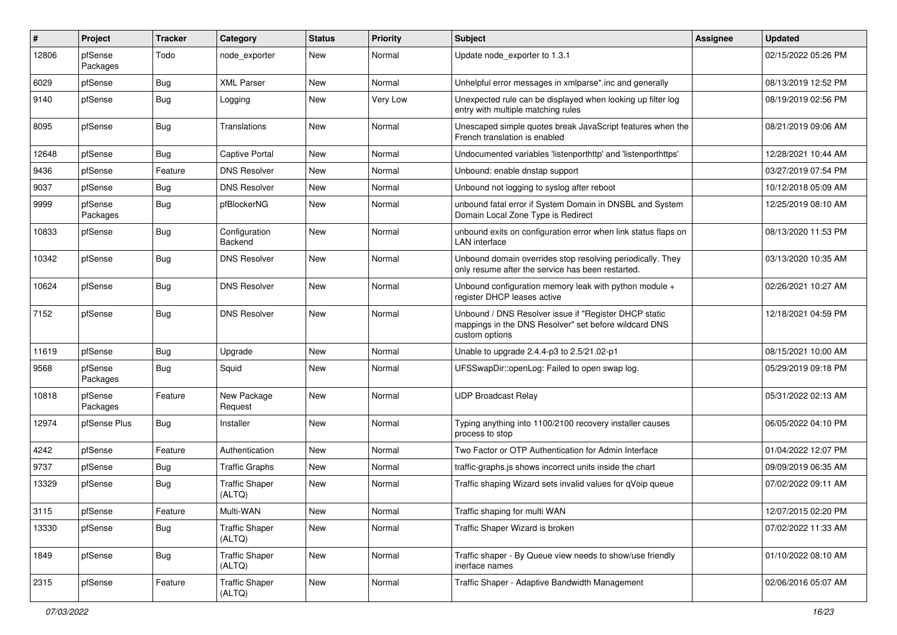| #     | Project             | <b>Tracker</b> | Category                        | <b>Status</b> | <b>Priority</b> | Subject                                                                                                                          | Assignee | <b>Updated</b>      |
|-------|---------------------|----------------|---------------------------------|---------------|-----------------|----------------------------------------------------------------------------------------------------------------------------------|----------|---------------------|
| 12806 | pfSense<br>Packages | Todo           | node_exporter                   | New           | Normal          | Update node exporter to 1.3.1                                                                                                    |          | 02/15/2022 05:26 PM |
| 6029  | pfSense             | Bug            | <b>XML Parser</b>               | New           | Normal          | Unhelpful error messages in xmlparse*.inc and generally                                                                          |          | 08/13/2019 12:52 PM |
| 9140  | pfSense             | <b>Bug</b>     | Logging                         | New           | Very Low        | Unexpected rule can be displayed when looking up filter log<br>entry with multiple matching rules                                |          | 08/19/2019 02:56 PM |
| 8095  | pfSense             | Bug            | Translations                    | <b>New</b>    | Normal          | Unescaped simple quotes break JavaScript features when the<br>French translation is enabled                                      |          | 08/21/2019 09:06 AM |
| 12648 | pfSense             | Bug            | Captive Portal                  | <b>New</b>    | Normal          | Undocumented variables 'listenporthttp' and 'listenporthttps'                                                                    |          | 12/28/2021 10:44 AM |
| 9436  | pfSense             | Feature        | <b>DNS Resolver</b>             | New           | Normal          | Unbound: enable dnstap support                                                                                                   |          | 03/27/2019 07:54 PM |
| 9037  | pfSense             | <b>Bug</b>     | <b>DNS Resolver</b>             | <b>New</b>    | Normal          | Unbound not logging to syslog after reboot                                                                                       |          | 10/12/2018 05:09 AM |
| 9999  | pfSense<br>Packages | Bug            | pfBlockerNG                     | New           | Normal          | unbound fatal error if System Domain in DNSBL and System<br>Domain Local Zone Type is Redirect                                   |          | 12/25/2019 08:10 AM |
| 10833 | pfSense             | <b>Bug</b>     | Configuration<br>Backend        | <b>New</b>    | Normal          | unbound exits on configuration error when link status flaps on<br>LAN interface                                                  |          | 08/13/2020 11:53 PM |
| 10342 | pfSense             | <b>Bug</b>     | <b>DNS Resolver</b>             | New           | Normal          | Unbound domain overrides stop resolving periodically. They<br>only resume after the service has been restarted.                  |          | 03/13/2020 10:35 AM |
| 10624 | pfSense             | <b>Bug</b>     | <b>DNS Resolver</b>             | <b>New</b>    | Normal          | Unbound configuration memory leak with python module $+$<br>register DHCP leases active                                          |          | 02/26/2021 10:27 AM |
| 7152  | pfSense             | <b>Bug</b>     | <b>DNS Resolver</b>             | New           | Normal          | Unbound / DNS Resolver issue if "Register DHCP static<br>mappings in the DNS Resolver" set before wildcard DNS<br>custom options |          | 12/18/2021 04:59 PM |
| 11619 | pfSense             | Bug            | Upgrade                         | New           | Normal          | Unable to upgrade 2.4.4-p3 to 2.5/21.02-p1                                                                                       |          | 08/15/2021 10:00 AM |
| 9568  | pfSense<br>Packages | <b>Bug</b>     | Squid                           | New           | Normal          | UFSSwapDir::openLog: Failed to open swap log.                                                                                    |          | 05/29/2019 09:18 PM |
| 10818 | pfSense<br>Packages | Feature        | New Package<br>Request          | <b>New</b>    | Normal          | <b>UDP Broadcast Relay</b>                                                                                                       |          | 05/31/2022 02:13 AM |
| 12974 | pfSense Plus        | Bug            | Installer                       | <b>New</b>    | Normal          | Typing anything into 1100/2100 recovery installer causes<br>process to stop                                                      |          | 06/05/2022 04:10 PM |
| 4242  | pfSense             | Feature        | Authentication                  | <b>New</b>    | Normal          | Two Factor or OTP Authentication for Admin Interface                                                                             |          | 01/04/2022 12:07 PM |
| 9737  | pfSense             | <b>Bug</b>     | <b>Traffic Graphs</b>           | New           | Normal          | traffic-graphs.js shows incorrect units inside the chart                                                                         |          | 09/09/2019 06:35 AM |
| 13329 | pfSense             | <b>Bug</b>     | <b>Traffic Shaper</b><br>(ALTQ) | New           | Normal          | Traffic shaping Wizard sets invalid values for qVoip queue                                                                       |          | 07/02/2022 09:11 AM |
| 3115  | pfSense             | Feature        | Multi-WAN                       | New           | Normal          | Traffic shaping for multi WAN                                                                                                    |          | 12/07/2015 02:20 PM |
| 13330 | pfSense             | Bug            | <b>Traffic Shaper</b><br>(ALTQ) | New           | Normal          | Traffic Shaper Wizard is broken                                                                                                  |          | 07/02/2022 11:33 AM |
| 1849  | pfSense             | <b>Bug</b>     | <b>Traffic Shaper</b><br>(ALTQ) | New           | Normal          | Traffic shaper - By Queue view needs to show/use friendly<br>inerface names                                                      |          | 01/10/2022 08:10 AM |
| 2315  | pfSense             | Feature        | <b>Traffic Shaper</b><br>(ALTQ) | New           | Normal          | Traffic Shaper - Adaptive Bandwidth Management                                                                                   |          | 02/06/2016 05:07 AM |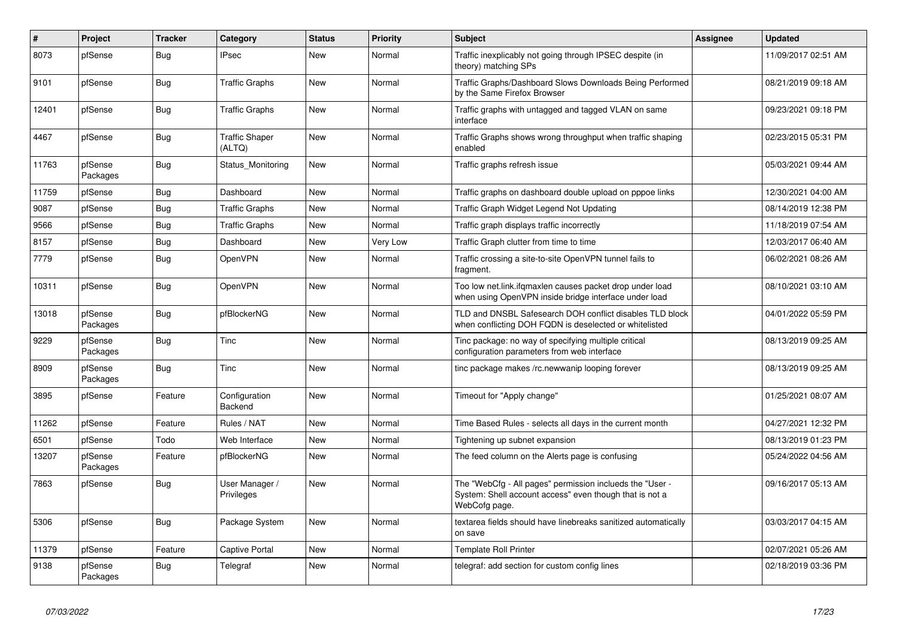| $\vert$ # | Project             | <b>Tracker</b> | Category                        | <b>Status</b> | Priority | <b>Subject</b>                                                                                                                       | <b>Assignee</b> | <b>Updated</b>      |
|-----------|---------------------|----------------|---------------------------------|---------------|----------|--------------------------------------------------------------------------------------------------------------------------------------|-----------------|---------------------|
| 8073      | pfSense             | Bug            | <b>IPsec</b>                    | <b>New</b>    | Normal   | Traffic inexplicably not going through IPSEC despite (in<br>theory) matching SPs                                                     |                 | 11/09/2017 02:51 AM |
| 9101      | pfSense             | <b>Bug</b>     | <b>Traffic Graphs</b>           | <b>New</b>    | Normal   | Traffic Graphs/Dashboard Slows Downloads Being Performed<br>by the Same Firefox Browser                                              |                 | 08/21/2019 09:18 AM |
| 12401     | pfSense             | Bug            | <b>Traffic Graphs</b>           | <b>New</b>    | Normal   | Traffic graphs with untagged and tagged VLAN on same<br>interface                                                                    |                 | 09/23/2021 09:18 PM |
| 4467      | pfSense             | <b>Bug</b>     | <b>Traffic Shaper</b><br>(ALTQ) | <b>New</b>    | Normal   | Traffic Graphs shows wrong throughput when traffic shaping<br>enabled                                                                |                 | 02/23/2015 05:31 PM |
| 11763     | pfSense<br>Packages | Bug            | Status Monitoring               | <b>New</b>    | Normal   | Traffic graphs refresh issue                                                                                                         |                 | 05/03/2021 09:44 AM |
| 11759     | pfSense             | <b>Bug</b>     | Dashboard                       | <b>New</b>    | Normal   | Traffic graphs on dashboard double upload on pppoe links                                                                             |                 | 12/30/2021 04:00 AM |
| 9087      | pfSense             | <b>Bug</b>     | Traffic Graphs                  | New           | Normal   | Traffic Graph Widget Legend Not Updating                                                                                             |                 | 08/14/2019 12:38 PM |
| 9566      | pfSense             | Bug            | <b>Traffic Graphs</b>           | <b>New</b>    | Normal   | Traffic graph displays traffic incorrectly                                                                                           |                 | 11/18/2019 07:54 AM |
| 8157      | pfSense             | Bug            | Dashboard                       | <b>New</b>    | Very Low | Traffic Graph clutter from time to time                                                                                              |                 | 12/03/2017 06:40 AM |
| 7779      | pfSense             | <b>Bug</b>     | OpenVPN                         | <b>New</b>    | Normal   | Traffic crossing a site-to-site OpenVPN tunnel fails to<br>fragment.                                                                 |                 | 06/02/2021 08:26 AM |
| 10311     | pfSense             | <b>Bug</b>     | OpenVPN                         | <b>New</b>    | Normal   | Too low net.link.ifgmaxlen causes packet drop under load<br>when using OpenVPN inside bridge interface under load                    |                 | 08/10/2021 03:10 AM |
| 13018     | pfSense<br>Packages | <b>Bug</b>     | pfBlockerNG                     | <b>New</b>    | Normal   | TLD and DNSBL Safesearch DOH conflict disables TLD block<br>when conflicting DOH FQDN is deselected or whitelisted                   |                 | 04/01/2022 05:59 PM |
| 9229      | pfSense<br>Packages | Bug            | Tinc                            | <b>New</b>    | Normal   | Tinc package: no way of specifying multiple critical<br>configuration parameters from web interface                                  |                 | 08/13/2019 09:25 AM |
| 8909      | pfSense<br>Packages | <b>Bug</b>     | Tinc                            | New           | Normal   | tinc package makes /rc.newwanip looping forever                                                                                      |                 | 08/13/2019 09:25 AM |
| 3895      | pfSense             | Feature        | Configuration<br>Backend        | <b>New</b>    | Normal   | Timeout for "Apply change"                                                                                                           |                 | 01/25/2021 08:07 AM |
| 11262     | pfSense             | Feature        | Rules / NAT                     | <b>New</b>    | Normal   | Time Based Rules - selects all days in the current month                                                                             |                 | 04/27/2021 12:32 PM |
| 6501      | pfSense             | Todo           | Web Interface                   | <b>New</b>    | Normal   | Tightening up subnet expansion                                                                                                       |                 | 08/13/2019 01:23 PM |
| 13207     | pfSense<br>Packages | Feature        | pfBlockerNG                     | <b>New</b>    | Normal   | The feed column on the Alerts page is confusing                                                                                      |                 | 05/24/2022 04:56 AM |
| 7863      | pfSense             | <b>Bug</b>     | User Manager /<br>Privileges    | New           | Normal   | The "WebCfg - All pages" permission inclueds the "User -<br>System: Shell account access" even though that is not a<br>WebCofg page. |                 | 09/16/2017 05:13 AM |
| 5306      | pfSense             | Bug            | Package System                  | <b>New</b>    | Normal   | textarea fields should have linebreaks sanitized automatically<br>on save                                                            |                 | 03/03/2017 04:15 AM |
| 11379     | pfSense             | Feature        | Captive Portal                  | <b>New</b>    | Normal   | <b>Template Roll Printer</b>                                                                                                         |                 | 02/07/2021 05:26 AM |
| 9138      | pfSense<br>Packages | Bug            | Telegraf                        | <b>New</b>    | Normal   | telegraf: add section for custom config lines                                                                                        |                 | 02/18/2019 03:36 PM |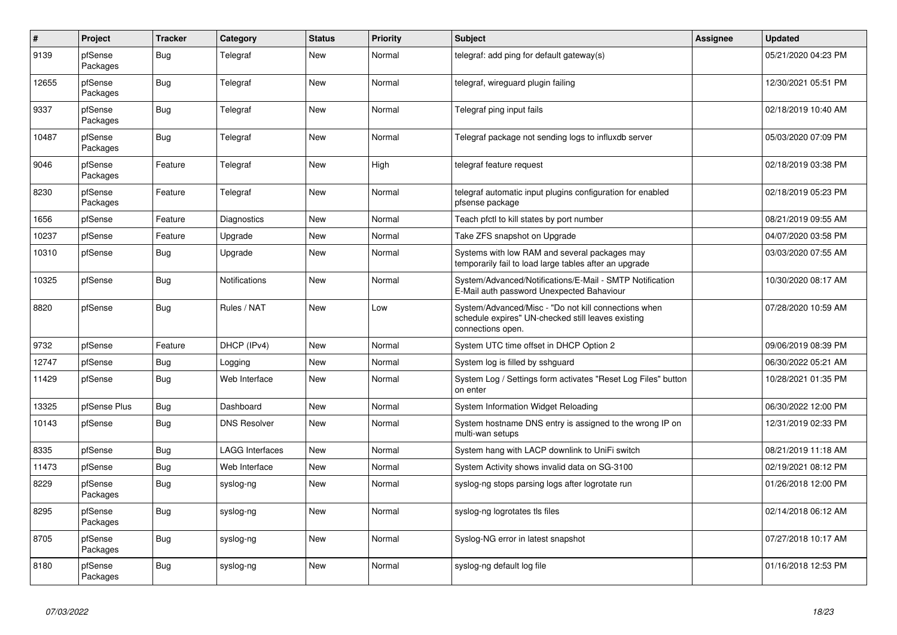| $\vert$ # | <b>Project</b>      | <b>Tracker</b> | Category               | <b>Status</b> | <b>Priority</b> | <b>Subject</b>                                                                                                                  | Assignee | <b>Updated</b>      |
|-----------|---------------------|----------------|------------------------|---------------|-----------------|---------------------------------------------------------------------------------------------------------------------------------|----------|---------------------|
| 9139      | pfSense<br>Packages | Bug            | Telegraf               | <b>New</b>    | Normal          | telegraf: add ping for default gateway(s)                                                                                       |          | 05/21/2020 04:23 PM |
| 12655     | pfSense<br>Packages | Bug            | Telegraf               | <b>New</b>    | Normal          | telegraf, wireguard plugin failing                                                                                              |          | 12/30/2021 05:51 PM |
| 9337      | pfSense<br>Packages | <b>Bug</b>     | Telegraf               | <b>New</b>    | Normal          | Telegraf ping input fails                                                                                                       |          | 02/18/2019 10:40 AM |
| 10487     | pfSense<br>Packages | <b>Bug</b>     | Telegraf               | <b>New</b>    | Normal          | Telegraf package not sending logs to influxdb server                                                                            |          | 05/03/2020 07:09 PM |
| 9046      | pfSense<br>Packages | Feature        | Telegraf               | <b>New</b>    | High            | telegraf feature request                                                                                                        |          | 02/18/2019 03:38 PM |
| 8230      | pfSense<br>Packages | Feature        | Telegraf               | <b>New</b>    | Normal          | telegraf automatic input plugins configuration for enabled<br>pfsense package                                                   |          | 02/18/2019 05:23 PM |
| 1656      | pfSense             | Feature        | Diagnostics            | <b>New</b>    | Normal          | Teach pfctl to kill states by port number                                                                                       |          | 08/21/2019 09:55 AM |
| 10237     | pfSense             | Feature        | Upgrade                | <b>New</b>    | Normal          | Take ZFS snapshot on Upgrade                                                                                                    |          | 04/07/2020 03:58 PM |
| 10310     | pfSense             | <b>Bug</b>     | Upgrade                | New           | Normal          | Systems with low RAM and several packages may<br>temporarily fail to load large tables after an upgrade                         |          | 03/03/2020 07:55 AM |
| 10325     | pfSense             | <b>Bug</b>     | <b>Notifications</b>   | <b>New</b>    | Normal          | System/Advanced/Notifications/E-Mail - SMTP Notification<br>E-Mail auth password Unexpected Bahaviour                           |          | 10/30/2020 08:17 AM |
| 8820      | pfSense             | <b>Bug</b>     | Rules / NAT            | <b>New</b>    | Low             | System/Advanced/Misc - "Do not kill connections when<br>schedule expires" UN-checked still leaves existing<br>connections open. |          | 07/28/2020 10:59 AM |
| 9732      | pfSense             | Feature        | DHCP (IPv4)            | <b>New</b>    | Normal          | System UTC time offset in DHCP Option 2                                                                                         |          | 09/06/2019 08:39 PM |
| 12747     | pfSense             | Bug            | Logging                | <b>New</b>    | Normal          | System log is filled by sshguard                                                                                                |          | 06/30/2022 05:21 AM |
| 11429     | pfSense             | <b>Bug</b>     | Web Interface          | New           | Normal          | System Log / Settings form activates "Reset Log Files" button<br>on enter                                                       |          | 10/28/2021 01:35 PM |
| 13325     | pfSense Plus        | Bug            | Dashboard              | <b>New</b>    | Normal          | System Information Widget Reloading                                                                                             |          | 06/30/2022 12:00 PM |
| 10143     | pfSense             | <b>Bug</b>     | <b>DNS Resolver</b>    | <b>New</b>    | Normal          | System hostname DNS entry is assigned to the wrong IP on<br>multi-wan setups                                                    |          | 12/31/2019 02:33 PM |
| 8335      | pfSense             | <b>Bug</b>     | <b>LAGG Interfaces</b> | <b>New</b>    | Normal          | System hang with LACP downlink to UniFi switch                                                                                  |          | 08/21/2019 11:18 AM |
| 11473     | pfSense             | <b>Bug</b>     | Web Interface          | <b>New</b>    | Normal          | System Activity shows invalid data on SG-3100                                                                                   |          | 02/19/2021 08:12 PM |
| 8229      | pfSense<br>Packages | <b>Bug</b>     | syslog-ng              | <b>New</b>    | Normal          | syslog-ng stops parsing logs after logrotate run                                                                                |          | 01/26/2018 12:00 PM |
| 8295      | pfSense<br>Packages | <b>Bug</b>     | syslog-ng              | <b>New</b>    | Normal          | syslog-ng logrotates tls files                                                                                                  |          | 02/14/2018 06:12 AM |
| 8705      | pfSense<br>Packages | Bug            | syslog-ng              | <b>New</b>    | Normal          | Syslog-NG error in latest snapshot                                                                                              |          | 07/27/2018 10:17 AM |
| 8180      | pfSense<br>Packages | Bug            | syslog-ng              | <b>New</b>    | Normal          | syslog-ng default log file                                                                                                      |          | 01/16/2018 12:53 PM |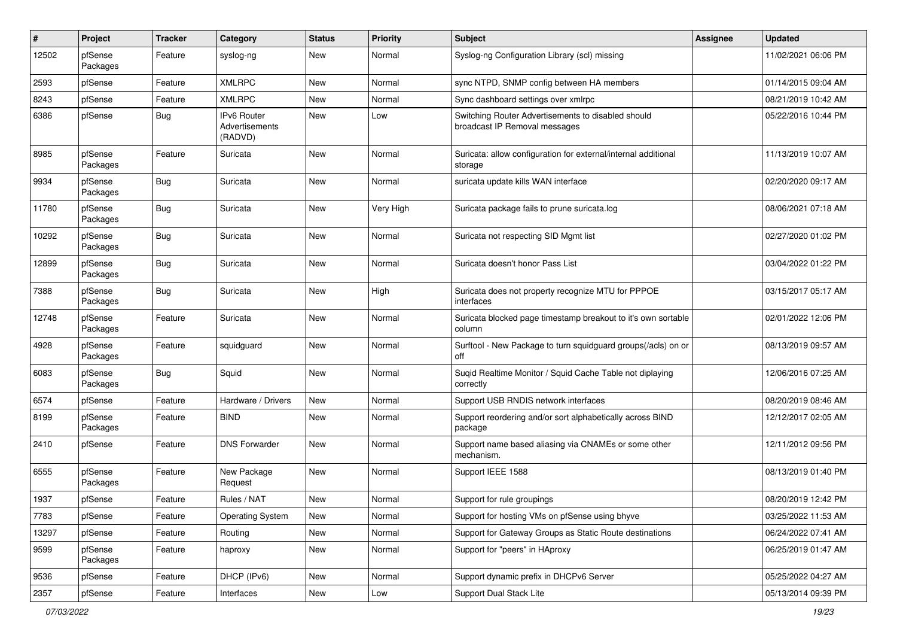| #     | Project             | <b>Tracker</b> | Category                                 | <b>Status</b> | <b>Priority</b> | <b>Subject</b>                                                                      | <b>Assignee</b> | <b>Updated</b>      |
|-------|---------------------|----------------|------------------------------------------|---------------|-----------------|-------------------------------------------------------------------------------------|-----------------|---------------------|
| 12502 | pfSense<br>Packages | Feature        | syslog-ng                                | <b>New</b>    | Normal          | Syslog-ng Configuration Library (scl) missing                                       |                 | 11/02/2021 06:06 PM |
| 2593  | pfSense             | Feature        | <b>XMLRPC</b>                            | New           | Normal          | sync NTPD, SNMP config between HA members                                           |                 | 01/14/2015 09:04 AM |
| 8243  | pfSense             | Feature        | <b>XMLRPC</b>                            | New           | Normal          | Sync dashboard settings over xmlrpc                                                 |                 | 08/21/2019 10:42 AM |
| 6386  | pfSense             | <b>Bug</b>     | IPv6 Router<br>Advertisements<br>(RADVD) | New           | Low             | Switching Router Advertisements to disabled should<br>broadcast IP Removal messages |                 | 05/22/2016 10:44 PM |
| 8985  | pfSense<br>Packages | Feature        | Suricata                                 | <b>New</b>    | Normal          | Suricata: allow configuration for external/internal additional<br>storage           |                 | 11/13/2019 10:07 AM |
| 9934  | pfSense<br>Packages | <b>Bug</b>     | Suricata                                 | <b>New</b>    | Normal          | suricata update kills WAN interface                                                 |                 | 02/20/2020 09:17 AM |
| 11780 | pfSense<br>Packages | <b>Bug</b>     | Suricata                                 | <b>New</b>    | Very High       | Suricata package fails to prune suricata.log                                        |                 | 08/06/2021 07:18 AM |
| 10292 | pfSense<br>Packages | Bug            | Suricata                                 | New           | Normal          | Suricata not respecting SID Mgmt list                                               |                 | 02/27/2020 01:02 PM |
| 12899 | pfSense<br>Packages | <b>Bug</b>     | Suricata                                 | <b>New</b>    | Normal          | Suricata doesn't honor Pass List                                                    |                 | 03/04/2022 01:22 PM |
| 7388  | pfSense<br>Packages | <b>Bug</b>     | Suricata                                 | New           | High            | Suricata does not property recognize MTU for PPPOE<br>interfaces                    |                 | 03/15/2017 05:17 AM |
| 12748 | pfSense<br>Packages | Feature        | Suricata                                 | New           | Normal          | Suricata blocked page timestamp breakout to it's own sortable<br>column             |                 | 02/01/2022 12:06 PM |
| 4928  | pfSense<br>Packages | Feature        | squidguard                               | New           | Normal          | Surftool - New Package to turn squidguard groups(/acls) on or<br>off                |                 | 08/13/2019 09:57 AM |
| 6083  | pfSense<br>Packages | <b>Bug</b>     | Squid                                    | <b>New</b>    | Normal          | Suqid Realtime Monitor / Squid Cache Table not diplaying<br>correctly               |                 | 12/06/2016 07:25 AM |
| 6574  | pfSense             | Feature        | Hardware / Drivers                       | <b>New</b>    | Normal          | Support USB RNDIS network interfaces                                                |                 | 08/20/2019 08:46 AM |
| 8199  | pfSense<br>Packages | Feature        | <b>BIND</b>                              | New           | Normal          | Support reordering and/or sort alphabetically across BIND<br>package                |                 | 12/12/2017 02:05 AM |
| 2410  | pfSense             | Feature        | <b>DNS Forwarder</b>                     | New           | Normal          | Support name based aliasing via CNAMEs or some other<br>mechanism.                  |                 | 12/11/2012 09:56 PM |
| 6555  | pfSense<br>Packages | Feature        | New Package<br>Request                   | New           | Normal          | Support IEEE 1588                                                                   |                 | 08/13/2019 01:40 PM |
| 1937  | pfSense             | Feature        | Rules / NAT                              | <b>New</b>    | Normal          | Support for rule groupings                                                          |                 | 08/20/2019 12:42 PM |
| 7783  | pfSense             | Feature        | <b>Operating System</b>                  | New           | Normal          | Support for hosting VMs on pfSense using bhyve                                      |                 | 03/25/2022 11:53 AM |
| 13297 | pfSense             | Feature        | Routing                                  | New           | Normal          | Support for Gateway Groups as Static Route destinations                             |                 | 06/24/2022 07:41 AM |
| 9599  | pfSense<br>Packages | Feature        | haproxy                                  | New           | Normal          | Support for "peers" in HAproxy                                                      |                 | 06/25/2019 01:47 AM |
| 9536  | pfSense             | Feature        | DHCP (IPv6)                              | New           | Normal          | Support dynamic prefix in DHCPv6 Server                                             |                 | 05/25/2022 04:27 AM |
| 2357  | pfSense             | Feature        | Interfaces                               | New           | Low             | Support Dual Stack Lite                                                             |                 | 05/13/2014 09:39 PM |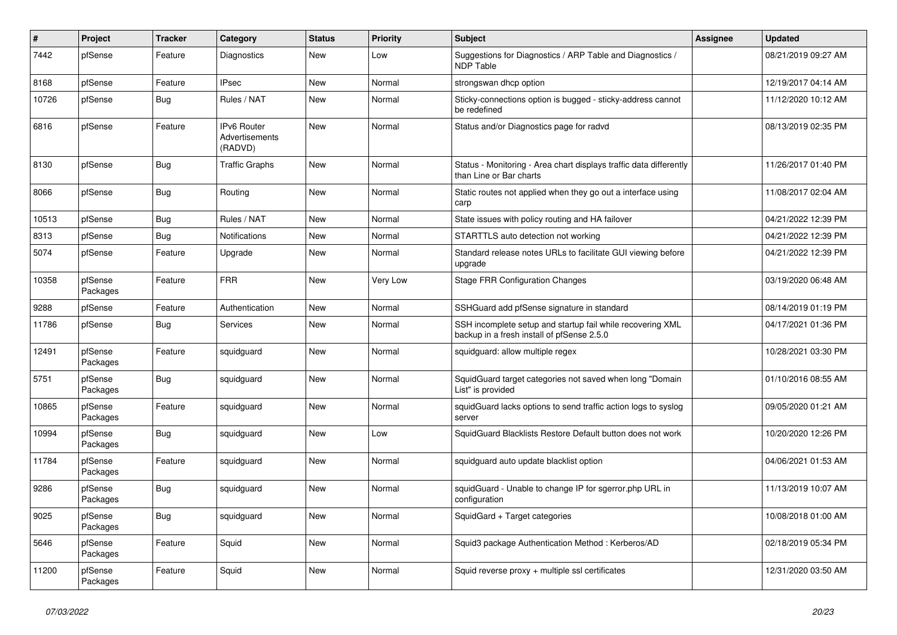| #     | Project             | <b>Tracker</b> | Category                                 | <b>Status</b> | <b>Priority</b> | <b>Subject</b>                                                                                           | <b>Assignee</b> | <b>Updated</b>      |
|-------|---------------------|----------------|------------------------------------------|---------------|-----------------|----------------------------------------------------------------------------------------------------------|-----------------|---------------------|
| 7442  | pfSense             | Feature        | Diagnostics                              | <b>New</b>    | Low             | Suggestions for Diagnostics / ARP Table and Diagnostics /<br><b>NDP Table</b>                            |                 | 08/21/2019 09:27 AM |
| 8168  | pfSense             | Feature        | <b>IPsec</b>                             | <b>New</b>    | Normal          | strongswan dhcp option                                                                                   |                 | 12/19/2017 04:14 AM |
| 10726 | pfSense             | Bug            | Rules / NAT                              | <b>New</b>    | Normal          | Sticky-connections option is bugged - sticky-address cannot<br>be redefined                              |                 | 11/12/2020 10:12 AM |
| 6816  | pfSense             | Feature        | IPv6 Router<br>Advertisements<br>(RADVD) | <b>New</b>    | Normal          | Status and/or Diagnostics page for radvd                                                                 |                 | 08/13/2019 02:35 PM |
| 8130  | pfSense             | <b>Bug</b>     | <b>Traffic Graphs</b>                    | New           | Normal          | Status - Monitoring - Area chart displays traffic data differently<br>than Line or Bar charts            |                 | 11/26/2017 01:40 PM |
| 8066  | pfSense             | <b>Bug</b>     | Routing                                  | <b>New</b>    | Normal          | Static routes not applied when they go out a interface using<br>carp                                     |                 | 11/08/2017 02:04 AM |
| 10513 | pfSense             | <b>Bug</b>     | Rules / NAT                              | <b>New</b>    | Normal          | State issues with policy routing and HA failover                                                         |                 | 04/21/2022 12:39 PM |
| 8313  | pfSense             | <b>Bug</b>     | Notifications                            | New           | Normal          | STARTTLS auto detection not working                                                                      |                 | 04/21/2022 12:39 PM |
| 5074  | pfSense             | Feature        | Upgrade                                  | New           | Normal          | Standard release notes URLs to facilitate GUI viewing before<br>upgrade                                  |                 | 04/21/2022 12:39 PM |
| 10358 | pfSense<br>Packages | Feature        | <b>FRR</b>                               | <b>New</b>    | Very Low        | <b>Stage FRR Configuration Changes</b>                                                                   |                 | 03/19/2020 06:48 AM |
| 9288  | pfSense             | Feature        | Authentication                           | <b>New</b>    | Normal          | SSHGuard add pfSense signature in standard                                                               |                 | 08/14/2019 01:19 PM |
| 11786 | pfSense             | Bug            | Services                                 | <b>New</b>    | Normal          | SSH incomplete setup and startup fail while recovering XML<br>backup in a fresh install of pfSense 2.5.0 |                 | 04/17/2021 01:36 PM |
| 12491 | pfSense<br>Packages | Feature        | squidguard                               | New           | Normal          | squidguard: allow multiple regex                                                                         |                 | 10/28/2021 03:30 PM |
| 5751  | pfSense<br>Packages | Bug            | squidguard                               | <b>New</b>    | Normal          | SquidGuard target categories not saved when long "Domain<br>List" is provided                            |                 | 01/10/2016 08:55 AM |
| 10865 | pfSense<br>Packages | Feature        | squidguard                               | <b>New</b>    | Normal          | squidGuard lacks options to send traffic action logs to syslog<br>server                                 |                 | 09/05/2020 01:21 AM |
| 10994 | pfSense<br>Packages | <b>Bug</b>     | squidguard                               | <b>New</b>    | Low             | SquidGuard Blacklists Restore Default button does not work                                               |                 | 10/20/2020 12:26 PM |
| 11784 | pfSense<br>Packages | Feature        | squidguard                               | <b>New</b>    | Normal          | squidguard auto update blacklist option                                                                  |                 | 04/06/2021 01:53 AM |
| 9286  | pfSense<br>Packages | <b>Bug</b>     | squidguard                               | <b>New</b>    | Normal          | squidGuard - Unable to change IP for sgerror.php URL in<br>configuration                                 |                 | 11/13/2019 10:07 AM |
| 9025  | pfSense<br>Packages | <b>Bug</b>     | squidguard                               | New           | Normal          | SquidGard + Target categories                                                                            |                 | 10/08/2018 01:00 AM |
| 5646  | pfSense<br>Packages | Feature        | Squid                                    | <b>New</b>    | Normal          | Squid3 package Authentication Method: Kerberos/AD                                                        |                 | 02/18/2019 05:34 PM |
| 11200 | pfSense<br>Packages | Feature        | Squid                                    | <b>New</b>    | Normal          | Squid reverse proxy + multiple ssl certificates                                                          |                 | 12/31/2020 03:50 AM |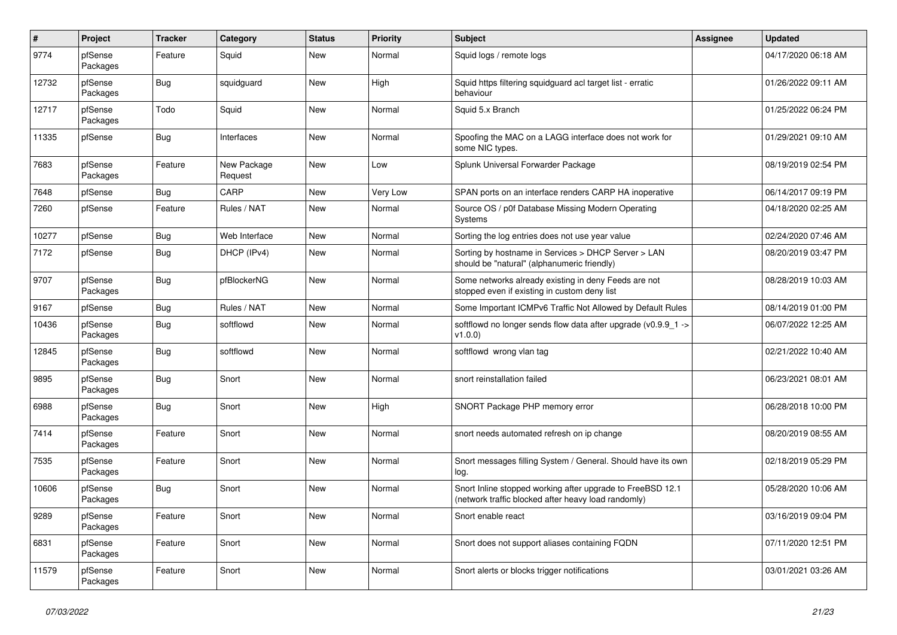| $\sharp$ | Project             | <b>Tracker</b> | Category               | <b>Status</b> | <b>Priority</b> | <b>Subject</b>                                                                                                    | <b>Assignee</b> | <b>Updated</b>      |
|----------|---------------------|----------------|------------------------|---------------|-----------------|-------------------------------------------------------------------------------------------------------------------|-----------------|---------------------|
| 9774     | pfSense<br>Packages | Feature        | Squid                  | <b>New</b>    | Normal          | Squid logs / remote logs                                                                                          |                 | 04/17/2020 06:18 AM |
| 12732    | pfSense<br>Packages | Bug            | squidguard             | New           | High            | Squid https filtering squidguard acl target list - erratic<br>behaviour                                           |                 | 01/26/2022 09:11 AM |
| 12717    | pfSense<br>Packages | Todo           | Squid                  | <b>New</b>    | Normal          | Squid 5.x Branch                                                                                                  |                 | 01/25/2022 06:24 PM |
| 11335    | pfSense             | <b>Bug</b>     | Interfaces             | <b>New</b>    | Normal          | Spoofing the MAC on a LAGG interface does not work for<br>some NIC types.                                         |                 | 01/29/2021 09:10 AM |
| 7683     | pfSense<br>Packages | Feature        | New Package<br>Request | <b>New</b>    | Low             | Splunk Universal Forwarder Package                                                                                |                 | 08/19/2019 02:54 PM |
| 7648     | pfSense             | <b>Bug</b>     | CARP                   | <b>New</b>    | Very Low        | SPAN ports on an interface renders CARP HA inoperative                                                            |                 | 06/14/2017 09:19 PM |
| 7260     | pfSense             | Feature        | Rules / NAT            | <b>New</b>    | Normal          | Source OS / p0f Database Missing Modern Operating<br>Systems                                                      |                 | 04/18/2020 02:25 AM |
| 10277    | pfSense             | <b>Bug</b>     | Web Interface          | <b>New</b>    | Normal          | Sorting the log entries does not use year value                                                                   |                 | 02/24/2020 07:46 AM |
| 7172     | pfSense             | Bug            | DHCP (IPv4)            | <b>New</b>    | Normal          | Sorting by hostname in Services > DHCP Server > LAN<br>should be "natural" (alphanumeric friendly)                |                 | 08/20/2019 03:47 PM |
| 9707     | pfSense<br>Packages | Bug            | pfBlockerNG            | <b>New</b>    | Normal          | Some networks already existing in deny Feeds are not<br>stopped even if existing in custom deny list              |                 | 08/28/2019 10:03 AM |
| 9167     | pfSense             | <b>Bug</b>     | Rules / NAT            | <b>New</b>    | Normal          | Some Important ICMPv6 Traffic Not Allowed by Default Rules                                                        |                 | 08/14/2019 01:00 PM |
| 10436    | pfSense<br>Packages | <b>Bug</b>     | softflowd              | <b>New</b>    | Normal          | softflowd no longer sends flow data after upgrade ( $v0.9.9$ 1 -><br>v1.0.0                                       |                 | 06/07/2022 12:25 AM |
| 12845    | pfSense<br>Packages | Bug            | softflowd              | <b>New</b>    | Normal          | softflowd wrong vlan tag                                                                                          |                 | 02/21/2022 10:40 AM |
| 9895     | pfSense<br>Packages | Bug            | Snort                  | <b>New</b>    | Normal          | snort reinstallation failed                                                                                       |                 | 06/23/2021 08:01 AM |
| 6988     | pfSense<br>Packages | <b>Bug</b>     | Snort                  | <b>New</b>    | High            | SNORT Package PHP memory error                                                                                    |                 | 06/28/2018 10:00 PM |
| 7414     | pfSense<br>Packages | Feature        | Snort                  | <b>New</b>    | Normal          | snort needs automated refresh on ip change                                                                        |                 | 08/20/2019 08:55 AM |
| 7535     | pfSense<br>Packages | Feature        | Snort                  | <b>New</b>    | Normal          | Snort messages filling System / General. Should have its own<br>log.                                              |                 | 02/18/2019 05:29 PM |
| 10606    | pfSense<br>Packages | Bug            | Snort                  | <b>New</b>    | Normal          | Snort Inline stopped working after upgrade to FreeBSD 12.1<br>(network traffic blocked after heavy load randomly) |                 | 05/28/2020 10:06 AM |
| 9289     | pfSense<br>Packages | Feature        | Snort                  | New           | Normal          | Snort enable react                                                                                                |                 | 03/16/2019 09:04 PM |
| 6831     | pfSense<br>Packages | Feature        | Snort                  | <b>New</b>    | Normal          | Snort does not support aliases containing FQDN                                                                    |                 | 07/11/2020 12:51 PM |
| 11579    | pfSense<br>Packages | Feature        | Snort                  | <b>New</b>    | Normal          | Snort alerts or blocks trigger notifications                                                                      |                 | 03/01/2021 03:26 AM |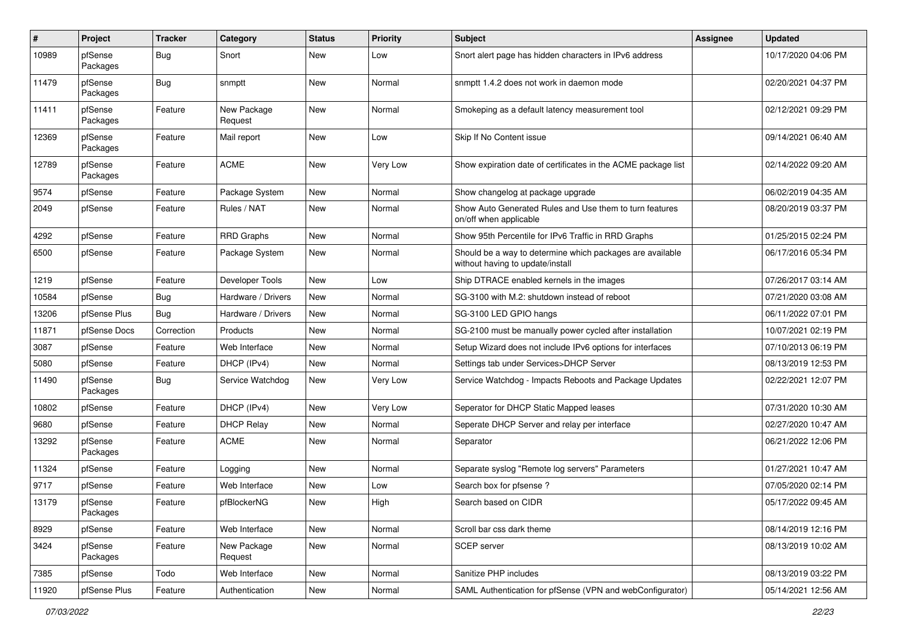| #     | Project             | <b>Tracker</b> | Category               | <b>Status</b> | <b>Priority</b> | Subject                                                                                       | <b>Assignee</b> | <b>Updated</b>      |
|-------|---------------------|----------------|------------------------|---------------|-----------------|-----------------------------------------------------------------------------------------------|-----------------|---------------------|
| 10989 | pfSense<br>Packages | <b>Bug</b>     | Snort                  | <b>New</b>    | Low             | Snort alert page has hidden characters in IPv6 address                                        |                 | 10/17/2020 04:06 PM |
| 11479 | pfSense<br>Packages | <b>Bug</b>     | snmptt                 | <b>New</b>    | Normal          | snmptt 1.4.2 does not work in daemon mode                                                     |                 | 02/20/2021 04:37 PM |
| 11411 | pfSense<br>Packages | Feature        | New Package<br>Request | <b>New</b>    | Normal          | Smokeping as a default latency measurement tool                                               |                 | 02/12/2021 09:29 PM |
| 12369 | pfSense<br>Packages | Feature        | Mail report            | <b>New</b>    | Low             | Skip If No Content issue                                                                      |                 | 09/14/2021 06:40 AM |
| 12789 | pfSense<br>Packages | Feature        | <b>ACME</b>            | <b>New</b>    | Very Low        | Show expiration date of certificates in the ACME package list                                 |                 | 02/14/2022 09:20 AM |
| 9574  | pfSense             | Feature        | Package System         | New           | Normal          | Show changelog at package upgrade                                                             |                 | 06/02/2019 04:35 AM |
| 2049  | pfSense             | Feature        | Rules / NAT            | <b>New</b>    | Normal          | Show Auto Generated Rules and Use them to turn features<br>on/off when applicable             |                 | 08/20/2019 03:37 PM |
| 4292  | pfSense             | Feature        | <b>RRD Graphs</b>      | <b>New</b>    | Normal          | Show 95th Percentile for IPv6 Traffic in RRD Graphs                                           |                 | 01/25/2015 02:24 PM |
| 6500  | pfSense             | Feature        | Package System         | New           | Normal          | Should be a way to determine which packages are available<br>without having to update/install |                 | 06/17/2016 05:34 PM |
| 1219  | pfSense             | Feature        | Developer Tools        | New           | Low             | Ship DTRACE enabled kernels in the images                                                     |                 | 07/26/2017 03:14 AM |
| 10584 | pfSense             | Bug            | Hardware / Drivers     | <b>New</b>    | Normal          | SG-3100 with M.2: shutdown instead of reboot                                                  |                 | 07/21/2020 03:08 AM |
| 13206 | pfSense Plus        | Bug            | Hardware / Drivers     | New           | Normal          | SG-3100 LED GPIO hangs                                                                        |                 | 06/11/2022 07:01 PM |
| 11871 | pfSense Docs        | Correction     | Products               | New           | Normal          | SG-2100 must be manually power cycled after installation                                      |                 | 10/07/2021 02:19 PM |
| 3087  | pfSense             | Feature        | Web Interface          | <b>New</b>    | Normal          | Setup Wizard does not include IPv6 options for interfaces                                     |                 | 07/10/2013 06:19 PM |
| 5080  | pfSense             | Feature        | DHCP (IPv4)            | New           | Normal          | Settings tab under Services>DHCP Server                                                       |                 | 08/13/2019 12:53 PM |
| 11490 | pfSense<br>Packages | <b>Bug</b>     | Service Watchdog       | New           | Very Low        | Service Watchdog - Impacts Reboots and Package Updates                                        |                 | 02/22/2021 12:07 PM |
| 10802 | pfSense             | Feature        | DHCP (IPv4)            | New           | Very Low        | Seperator for DHCP Static Mapped leases                                                       |                 | 07/31/2020 10:30 AM |
| 9680  | pfSense             | Feature        | <b>DHCP Relay</b>      | <b>New</b>    | Normal          | Seperate DHCP Server and relay per interface                                                  |                 | 02/27/2020 10:47 AM |
| 13292 | pfSense<br>Packages | Feature        | <b>ACME</b>            | New           | Normal          | Separator                                                                                     |                 | 06/21/2022 12:06 PM |
| 11324 | pfSense             | Feature        | Logging                | <b>New</b>    | Normal          | Separate syslog "Remote log servers" Parameters                                               |                 | 01/27/2021 10:47 AM |
| 9717  | pfSense             | Feature        | Web Interface          | <b>New</b>    | Low             | Search box for pfsense?                                                                       |                 | 07/05/2020 02:14 PM |
| 13179 | pfSense<br>Packages | Feature        | pfBlockerNG            | New           | High            | Search based on CIDR                                                                          |                 | 05/17/2022 09:45 AM |
| 8929  | pfSense             | Feature        | Web Interface          | New           | Normal          | Scroll bar css dark theme                                                                     |                 | 08/14/2019 12:16 PM |
| 3424  | pfSense<br>Packages | Feature        | New Package<br>Request | New           | Normal          | SCEP server                                                                                   |                 | 08/13/2019 10:02 AM |
| 7385  | pfSense             | Todo           | Web Interface          | New           | Normal          | Sanitize PHP includes                                                                         |                 | 08/13/2019 03:22 PM |
| 11920 | pfSense Plus        | Feature        | Authentication         | New           | Normal          | SAML Authentication for pfSense (VPN and webConfigurator)                                     |                 | 05/14/2021 12:56 AM |